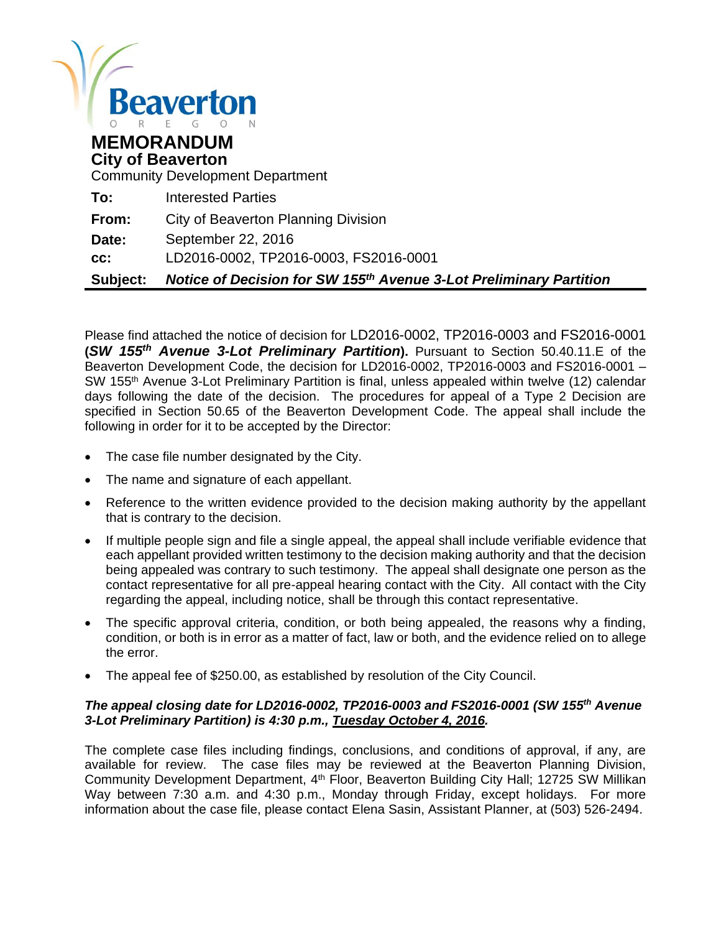

#### **MEMORANDUM City of Beaverton**

Community Development Department

| Subject: | Notice of Decision for SW 155th Avenue 3-Lot Preliminary Partition |
|----------|--------------------------------------------------------------------|
| CC:      | LD2016-0002, TP2016-0003, FS2016-0001                              |
| Date:    | September 22, 2016                                                 |
| From:    | City of Beaverton Planning Division                                |
| To:      | <b>Interested Parties</b>                                          |

Please find attached the notice of decision for LD2016-0002, TP2016-0003 and FS2016-0001 **(***SW 155th Avenue 3-Lot Preliminary Partition***).** Pursuant to Section 50.40.11.E of the Beaverton Development Code, the decision for LD2016-0002, TP2016-0003 and FS2016-0001 – SW 155th Avenue 3-Lot Preliminary Partition is final, unless appealed within twelve (12) calendar days following the date of the decision. The procedures for appeal of a Type 2 Decision are specified in Section 50.65 of the Beaverton Development Code. The appeal shall include the following in order for it to be accepted by the Director:

- The case file number designated by the City.
- The name and signature of each appellant.
- Reference to the written evidence provided to the decision making authority by the appellant that is contrary to the decision.
- If multiple people sign and file a single appeal, the appeal shall include verifiable evidence that each appellant provided written testimony to the decision making authority and that the decision being appealed was contrary to such testimony. The appeal shall designate one person as the contact representative for all pre-appeal hearing contact with the City. All contact with the City regarding the appeal, including notice, shall be through this contact representative.
- The specific approval criteria, condition, or both being appealed, the reasons why a finding, condition, or both is in error as a matter of fact, law or both, and the evidence relied on to allege the error.
- The appeal fee of \$250.00, as established by resolution of the City Council.

#### *The appeal closing date for LD2016-0002, TP2016-0003 and FS2016-0001 (SW 155th Avenue 3-Lot Preliminary Partition) is 4:30 p.m., Tuesday October 4, 2016.*

The complete case files including findings, conclusions, and conditions of approval, if any, are available for review. The case files may be reviewed at the Beaverton Planning Division, Community Development Department, 4<sup>th</sup> Floor, Beaverton Building City Hall; 12725 SW Millikan Way between 7:30 a.m. and 4:30 p.m., Monday through Friday, except holidays. For more information about the case file, please contact Elena Sasin, Assistant Planner, at (503) 526-2494.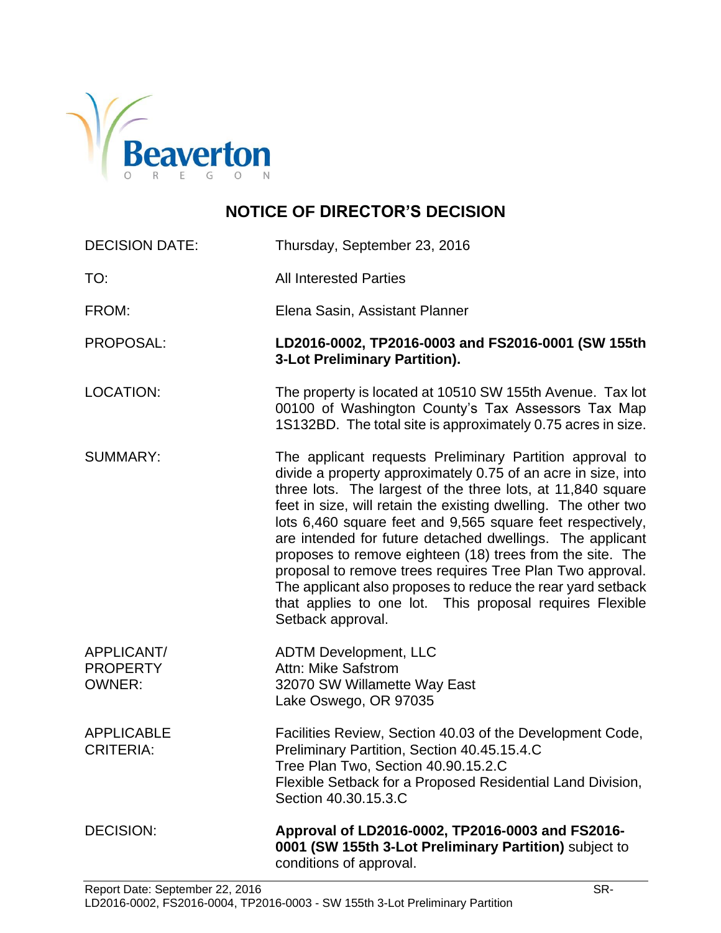

# **NOTICE OF DIRECTOR'S DECISION**

| <b>DECISION DATE:</b>                          | Thursday, September 23, 2016                                                                                                                                                                                                                                                                                                                                                                                                                                                                                                                                                                                                                                    |
|------------------------------------------------|-----------------------------------------------------------------------------------------------------------------------------------------------------------------------------------------------------------------------------------------------------------------------------------------------------------------------------------------------------------------------------------------------------------------------------------------------------------------------------------------------------------------------------------------------------------------------------------------------------------------------------------------------------------------|
| TO:                                            | <b>All Interested Parties</b>                                                                                                                                                                                                                                                                                                                                                                                                                                                                                                                                                                                                                                   |
| FROM:                                          | Elena Sasin, Assistant Planner                                                                                                                                                                                                                                                                                                                                                                                                                                                                                                                                                                                                                                  |
| PROPOSAL:                                      | LD2016-0002, TP2016-0003 and FS2016-0001 (SW 155th<br>3-Lot Preliminary Partition).                                                                                                                                                                                                                                                                                                                                                                                                                                                                                                                                                                             |
| <b>LOCATION:</b>                               | The property is located at 10510 SW 155th Avenue. Tax lot<br>00100 of Washington County's Tax Assessors Tax Map<br>1S132BD. The total site is approximately 0.75 acres in size.                                                                                                                                                                                                                                                                                                                                                                                                                                                                                 |
| <b>SUMMARY:</b>                                | The applicant requests Preliminary Partition approval to<br>divide a property approximately 0.75 of an acre in size, into<br>three lots. The largest of the three lots, at 11,840 square<br>feet in size, will retain the existing dwelling. The other two<br>lots 6,460 square feet and 9,565 square feet respectively,<br>are intended for future detached dwellings. The applicant<br>proposes to remove eighteen (18) trees from the site. The<br>proposal to remove trees requires Tree Plan Two approval.<br>The applicant also proposes to reduce the rear yard setback<br>that applies to one lot. This proposal requires Flexible<br>Setback approval. |
| APPLICANT/<br><b>PROPERTY</b><br><b>OWNER:</b> | <b>ADTM Development, LLC</b><br>Attn: Mike Safstrom<br>32070 SW Willamette Way East<br>Lake Oswego, OR 97035                                                                                                                                                                                                                                                                                                                                                                                                                                                                                                                                                    |
| <b>APPLICABLE</b><br><b>CRITERIA:</b>          | Facilities Review, Section 40.03 of the Development Code,<br>Preliminary Partition, Section 40.45.15.4.C<br>Tree Plan Two, Section 40.90.15.2.C<br>Flexible Setback for a Proposed Residential Land Division,<br>Section 40.30.15.3.C                                                                                                                                                                                                                                                                                                                                                                                                                           |
| <b>DECISION:</b>                               | Approval of LD2016-0002, TP2016-0003 and FS2016-<br>0001 (SW 155th 3-Lot Preliminary Partition) subject to<br>conditions of approval.                                                                                                                                                                                                                                                                                                                                                                                                                                                                                                                           |
| Denort Detai Centember 22, 2016                | cп                                                                                                                                                                                                                                                                                                                                                                                                                                                                                                                                                                                                                                                              |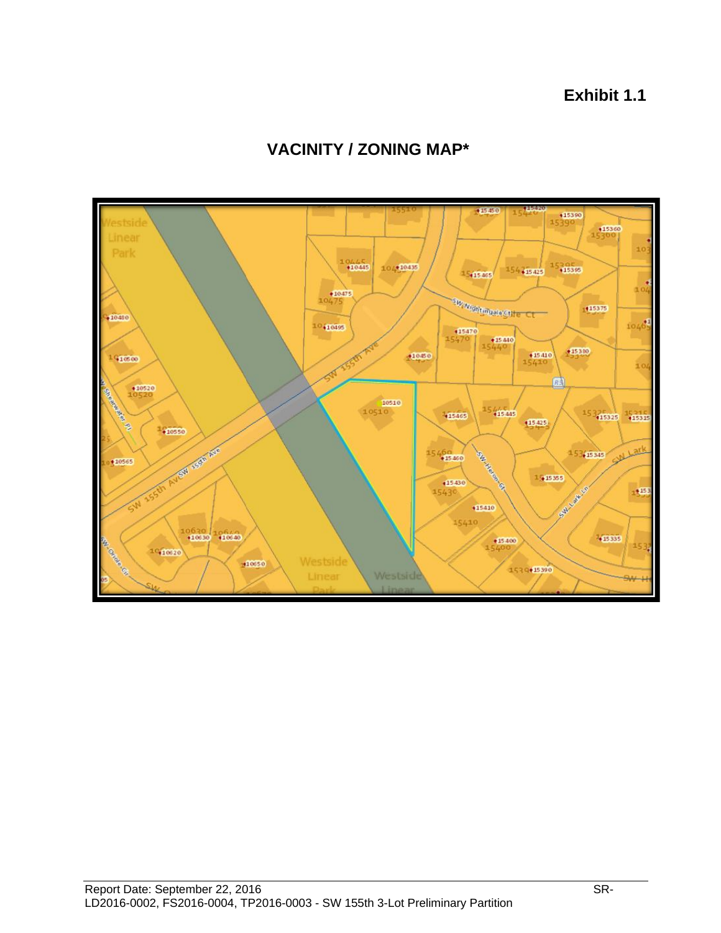**Exhibit 1.1**



# **VACINITY / ZONING MAP\***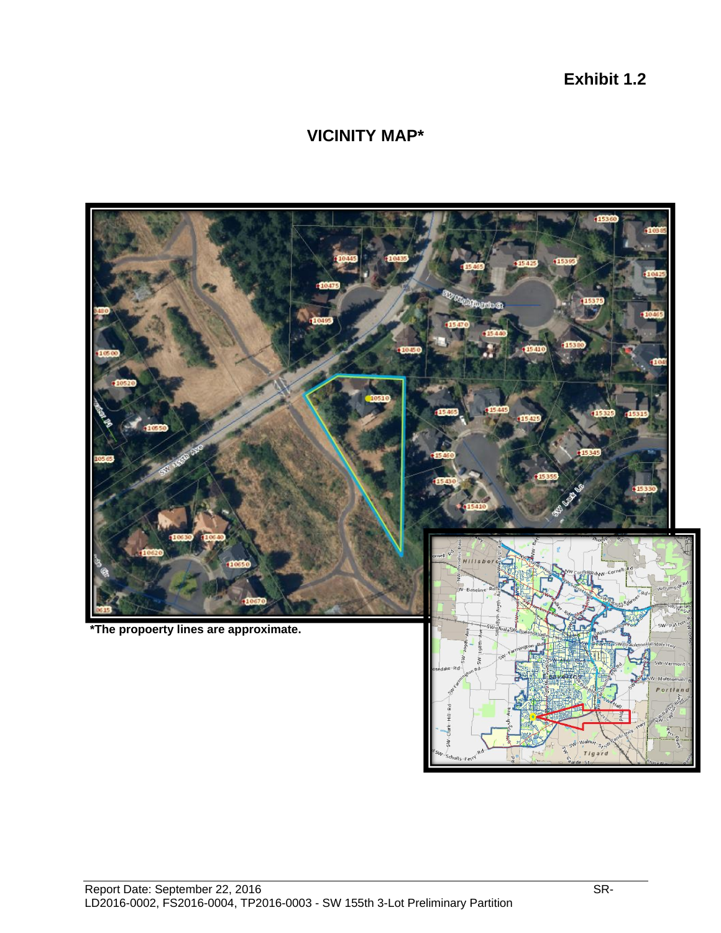**Exhibit 1.2**

### **VICINITY MAP\***

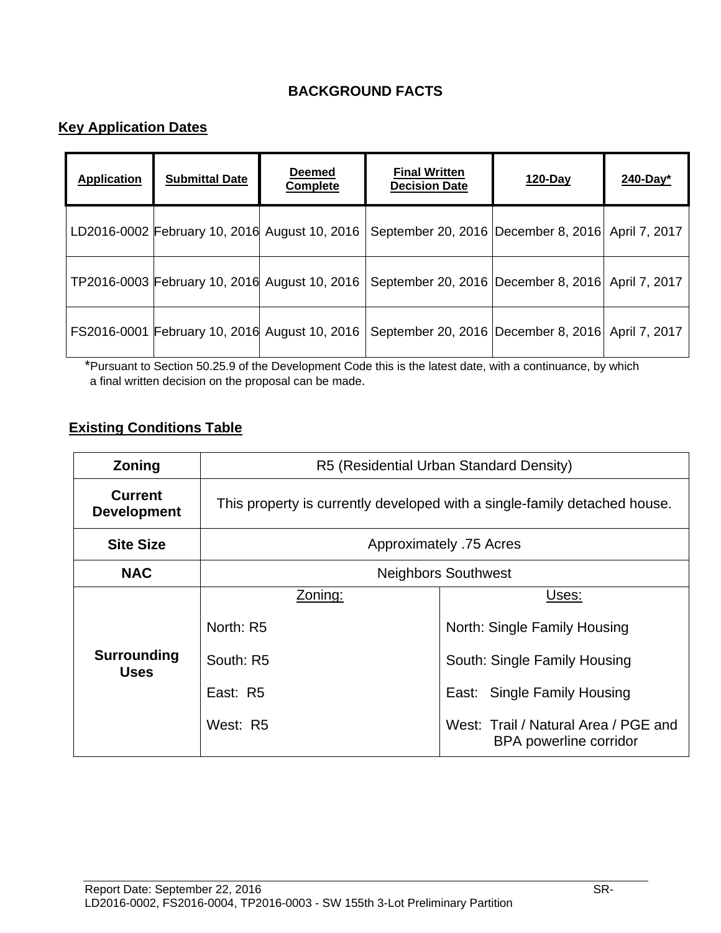### **BACKGROUND FACTS**

### **Key Application Dates**

| <b>Application</b> | <b>Submittal Date</b>                         | <b>Deemed</b><br><b>Complete</b> | <b>Final Written</b><br><b>Decision Date</b>          | $120$ -Day | $240$ -Day* |
|--------------------|-----------------------------------------------|----------------------------------|-------------------------------------------------------|------------|-------------|
|                    | LD2016-0002 February 10, 2016 August 10, 2016 |                                  | September 20, 2016   December 8, 2016   April 7, 2017 |            |             |
|                    | TP2016-0003 February 10, 2016 August 10, 2016 |                                  | September 20, 2016   December 8, 2016   April 7, 2017 |            |             |
|                    | FS2016-0001 February 10, 2016 August 10, 2016 |                                  | September 20, 2016   December 8, 2016   April 7, 2017 |            |             |

\*Pursuant to Section 50.25.9 of the Development Code this is the latest date, with a continuance, by which a final written decision on the proposal can be made.

### **Existing Conditions Table**

| <b>Zoning</b>                        | R5 (Residential Urban Standard Density)                                   |                                                                                                                                                                        |  |  |
|--------------------------------------|---------------------------------------------------------------------------|------------------------------------------------------------------------------------------------------------------------------------------------------------------------|--|--|
| <b>Current</b><br><b>Development</b> | This property is currently developed with a single-family detached house. |                                                                                                                                                                        |  |  |
| <b>Site Size</b>                     | Approximately .75 Acres                                                   |                                                                                                                                                                        |  |  |
| <b>NAC</b>                           | <b>Neighbors Southwest</b>                                                |                                                                                                                                                                        |  |  |
| <b>Surrounding</b><br><b>Uses</b>    | Zoning:<br>North: R5<br>South: R5<br>East: R5<br>West: R5                 | Uses:<br>North: Single Family Housing<br>South: Single Family Housing<br>East: Single Family Housing<br>West: Trail / Natural Area / PGE and<br>BPA powerline corridor |  |  |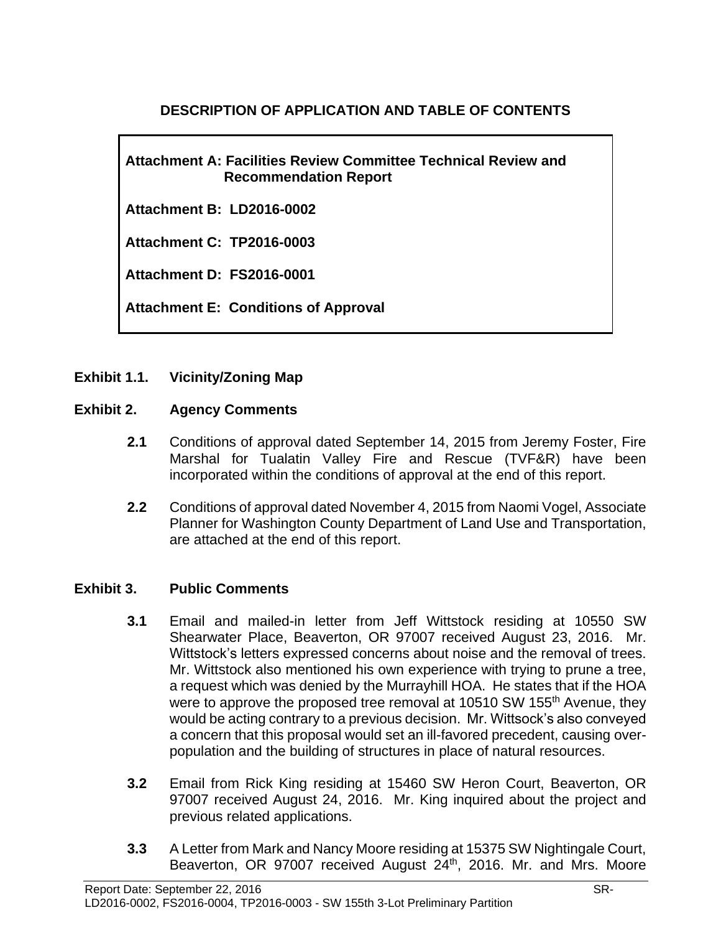### **DESCRIPTION OF APPLICATION AND TABLE OF CONTENTS**

**Attachment A: Facilities Review Committee Technical Review and Recommendation Report**

**Attachment B: LD2016-0002**

**Attachment C: TP2016-0003**

**Attachment D: FS2016-0001**

**Attachment E: Conditions of Approval**

#### **Exhibit 1.1. Vicinity/Zoning Map**

#### **Exhibit 2. Agency Comments**

- **2.1** Conditions of approval dated September 14, 2015 from Jeremy Foster, Fire Marshal for Tualatin Valley Fire and Rescue (TVF&R) have been incorporated within the conditions of approval at the end of this report.
- **2.2** Conditions of approval dated November 4, 2015 from Naomi Vogel, Associate Planner for Washington County Department of Land Use and Transportation, are attached at the end of this report.

#### **Exhibit 3. Public Comments**

- **3.1** Email and mailed-in letter from Jeff Wittstock residing at 10550 SW Shearwater Place, Beaverton, OR 97007 received August 23, 2016. Mr. Wittstock's letters expressed concerns about noise and the removal of trees. Mr. Wittstock also mentioned his own experience with trying to prune a tree, a request which was denied by the Murrayhill HOA. He states that if the HOA were to approve the proposed tree removal at 10510 SW 155<sup>th</sup> Avenue, they would be acting contrary to a previous decision. Mr. Wittsock's also conveyed a concern that this proposal would set an ill-favored precedent, causing overpopulation and the building of structures in place of natural resources.
- **3.2** Email from Rick King residing at 15460 SW Heron Court, Beaverton, OR 97007 received August 24, 2016. Mr. King inquired about the project and previous related applications.
- **3.3** A Letter from Mark and Nancy Moore residing at 15375 SW Nightingale Court, Beaverton, OR 97007 received August 24<sup>th</sup>, 2016. Mr. and Mrs. Moore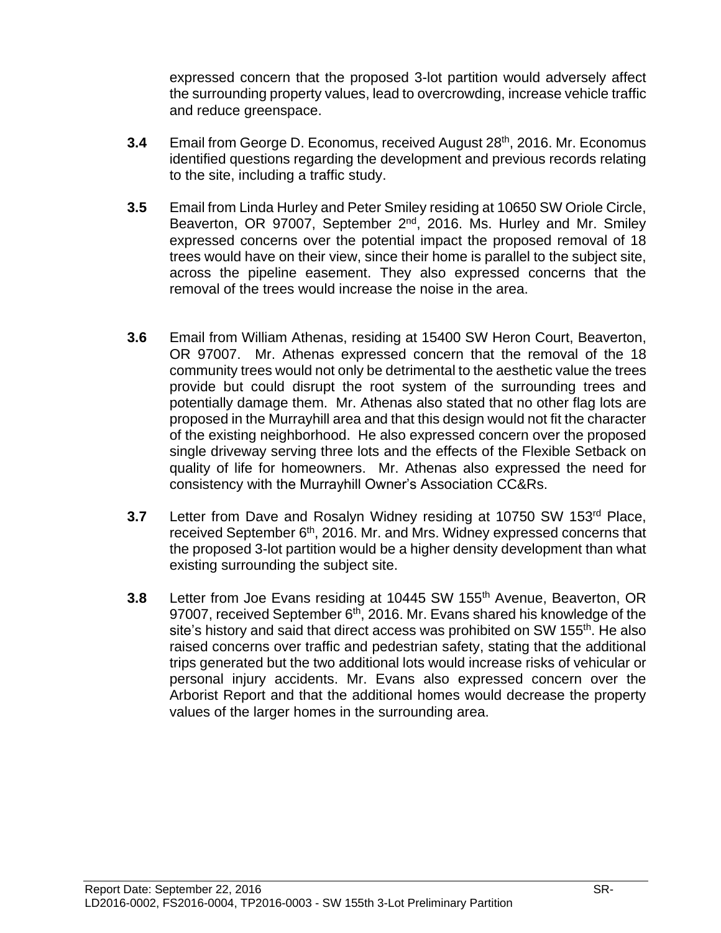expressed concern that the proposed 3-lot partition would adversely affect the surrounding property values, lead to overcrowding, increase vehicle traffic and reduce greenspace.

- **3.4** Email from George D. Economus, received August 28th, 2016. Mr. Economus identified questions regarding the development and previous records relating to the site, including a traffic study.
- **3.5** Email from Linda Hurley and Peter Smiley residing at 10650 SW Oriole Circle, Beaverton, OR 97007, September 2<sup>nd</sup>, 2016. Ms. Hurley and Mr. Smiley expressed concerns over the potential impact the proposed removal of 18 trees would have on their view, since their home is parallel to the subject site, across the pipeline easement. They also expressed concerns that the removal of the trees would increase the noise in the area.
- **3.6** Email from William Athenas, residing at 15400 SW Heron Court, Beaverton, OR 97007. Mr. Athenas expressed concern that the removal of the 18 community trees would not only be detrimental to the aesthetic value the trees provide but could disrupt the root system of the surrounding trees and potentially damage them. Mr. Athenas also stated that no other flag lots are proposed in the Murrayhill area and that this design would not fit the character of the existing neighborhood. He also expressed concern over the proposed single driveway serving three lots and the effects of the Flexible Setback on quality of life for homeowners. Mr. Athenas also expressed the need for consistency with the Murrayhill Owner's Association CC&Rs.
- **3.7** Letter from Dave and Rosalyn Widney residing at 10750 SW 153<sup>rd</sup> Place, received September 6<sup>th</sup>, 2016. Mr. and Mrs. Widney expressed concerns that the proposed 3-lot partition would be a higher density development than what existing surrounding the subject site.
- **3.8** Letter from Joe Evans residing at 10445 SW 155<sup>th</sup> Avenue, Beaverton, OR 97007, received September 6<sup>th</sup>, 2016. Mr. Evans shared his knowledge of the site's history and said that direct access was prohibited on SW 155<sup>th</sup>. He also raised concerns over traffic and pedestrian safety, stating that the additional trips generated but the two additional lots would increase risks of vehicular or personal injury accidents. Mr. Evans also expressed concern over the Arborist Report and that the additional homes would decrease the property values of the larger homes in the surrounding area.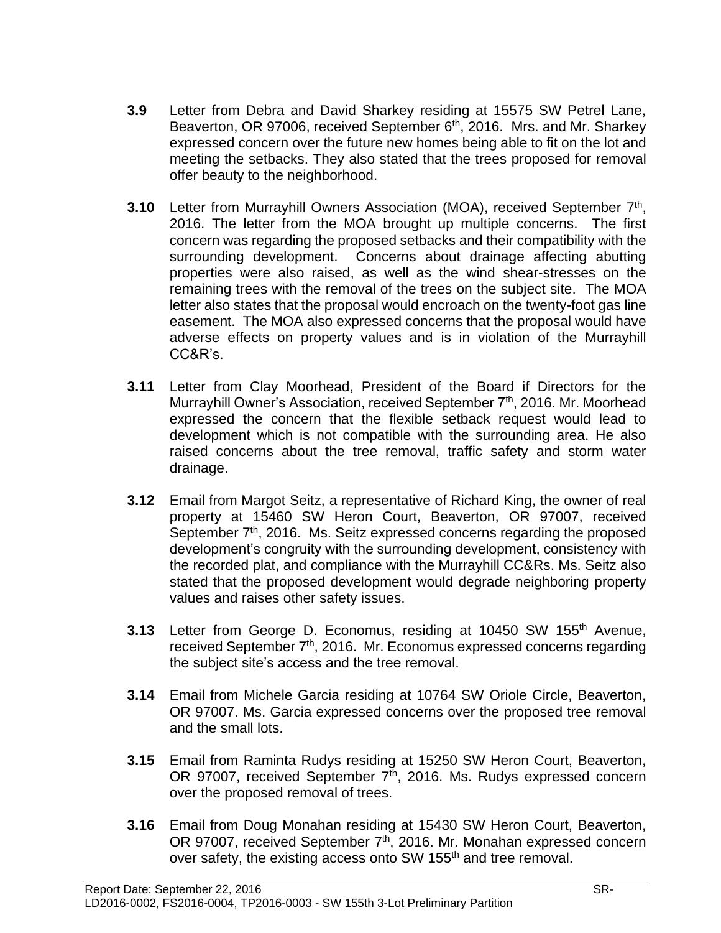- **3.9** Letter from Debra and David Sharkey residing at 15575 SW Petrel Lane, Beaverton, OR 97006, received September 6<sup>th</sup>, 2016. Mrs. and Mr. Sharkey expressed concern over the future new homes being able to fit on the lot and meeting the setbacks. They also stated that the trees proposed for removal offer beauty to the neighborhood.
- **3.10** Letter from Murrayhill Owners Association (MOA), received September 7<sup>th</sup>, 2016. The letter from the MOA brought up multiple concerns. The first concern was regarding the proposed setbacks and their compatibility with the surrounding development. Concerns about drainage affecting abutting properties were also raised, as well as the wind shear-stresses on the remaining trees with the removal of the trees on the subject site. The MOA letter also states that the proposal would encroach on the twenty-foot gas line easement. The MOA also expressed concerns that the proposal would have adverse effects on property values and is in violation of the Murrayhill CC&R's.
- **3.11** Letter from Clay Moorhead, President of the Board if Directors for the Murrayhill Owner's Association, received September 7<sup>th</sup>, 2016. Mr. Moorhead expressed the concern that the flexible setback request would lead to development which is not compatible with the surrounding area. He also raised concerns about the tree removal, traffic safety and storm water drainage.
- **3.12** Email from Margot Seitz, a representative of Richard King, the owner of real property at 15460 SW Heron Court, Beaverton, OR 97007, received September 7<sup>th</sup>, 2016. Ms. Seitz expressed concerns regarding the proposed development's congruity with the surrounding development, consistency with the recorded plat, and compliance with the Murrayhill CC&Rs. Ms. Seitz also stated that the proposed development would degrade neighboring property values and raises other safety issues.
- **3.13** Letter from George D. Economus, residing at 10450 SW 155<sup>th</sup> Avenue, received September 7th, 2016.Mr. Economus expressed concerns regarding the subject site's access and the tree removal.
- **3.14** Email from Michele Garcia residing at 10764 SW Oriole Circle, Beaverton, OR 97007. Ms. Garcia expressed concerns over the proposed tree removal and the small lots.
- **3.15** Email from Raminta Rudys residing at 15250 SW Heron Court, Beaverton, OR 97007, received September  $7<sup>th</sup>$ , 2016. Ms. Rudys expressed concern over the proposed removal of trees.
- **3.16** Email from Doug Monahan residing at 15430 SW Heron Court, Beaverton, OR 97007, received September 7<sup>th</sup>, 2016. Mr. Monahan expressed concern over safety, the existing access onto SW 155<sup>th</sup> and tree removal.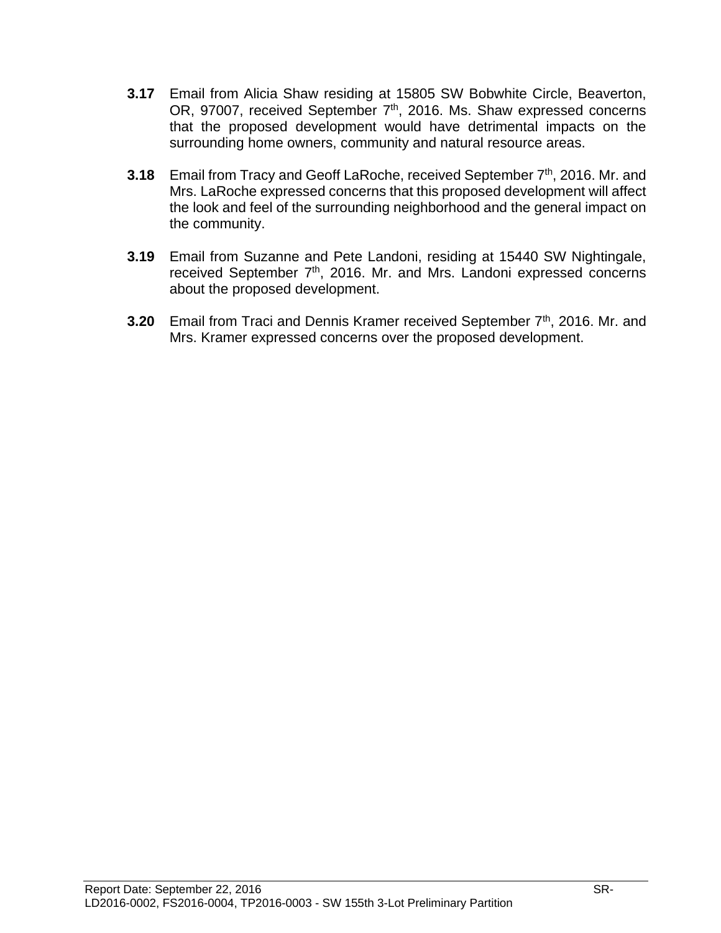- **3.17** Email from Alicia Shaw residing at 15805 SW Bobwhite Circle, Beaverton, OR, 97007, received September 7<sup>th</sup>, 2016. Ms. Shaw expressed concerns that the proposed development would have detrimental impacts on the surrounding home owners, community and natural resource areas.
- **3.18** Email from Tracy and Geoff LaRoche, received September 7<sup>th</sup>, 2016. Mr. and Mrs. LaRoche expressed concerns that this proposed development will affect the look and feel of the surrounding neighborhood and the general impact on the community.
- **3.19** Email from Suzanne and Pete Landoni, residing at 15440 SW Nightingale, received September 7<sup>th</sup>, 2016. Mr. and Mrs. Landoni expressed concerns about the proposed development.
- **3.20** Email from Traci and Dennis Kramer received September 7<sup>th</sup>, 2016. Mr. and Mrs. Kramer expressed concerns over the proposed development.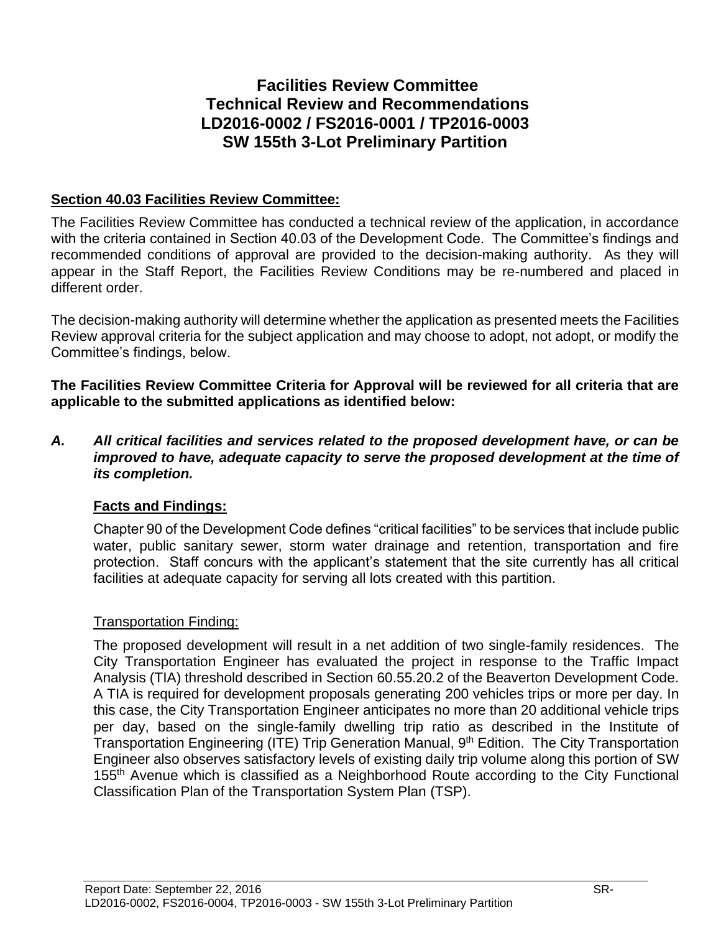# **Facilities Review Committee Technical Review and Recommendations LD2016-0002 / FS2016-0001 / TP2016-0003 SW 155th 3-Lot Preliminary Partition**

### **Section 40.03 Facilities Review Committee:**

The Facilities Review Committee has conducted a technical review of the application, in accordance with the criteria contained in Section 40.03 of the Development Code. The Committee's findings and recommended conditions of approval are provided to the decision-making authority. As they will appear in the Staff Report, the Facilities Review Conditions may be re-numbered and placed in different order.

The decision-making authority will determine whether the application as presented meets the Facilities Review approval criteria for the subject application and may choose to adopt, not adopt, or modify the Committee's findings, below.

**The Facilities Review Committee Criteria for Approval will be reviewed for all criteria that are applicable to the submitted applications as identified below:**

*A. All critical facilities and services related to the proposed development have, or can be improved to have, adequate capacity to serve the proposed development at the time of its completion.*

### **Facts and Findings:**

Chapter 90 of the Development Code defines "critical facilities" to be services that include public water, public sanitary sewer, storm water drainage and retention, transportation and fire protection. Staff concurs with the applicant's statement that the site currently has all critical facilities at adequate capacity for serving all lots created with this partition.

### Transportation Finding:

The proposed development will result in a net addition of two single-family residences. The City Transportation Engineer has evaluated the project in response to the Traffic Impact Analysis (TIA) threshold described in Section 60.55.20.2 of the Beaverton Development Code. A TIA is required for development proposals generating 200 vehicles trips or more per day. In this case, the City Transportation Engineer anticipates no more than 20 additional vehicle trips per day, based on the single-family dwelling trip ratio as described in the Institute of Transportation Engineering (ITE) Trip Generation Manual, 9th Edition. The City Transportation Engineer also observes satisfactory levels of existing daily trip volume along this portion of SW 155<sup>th</sup> Avenue which is classified as a Neighborhood Route according to the City Functional Classification Plan of the Transportation System Plan (TSP).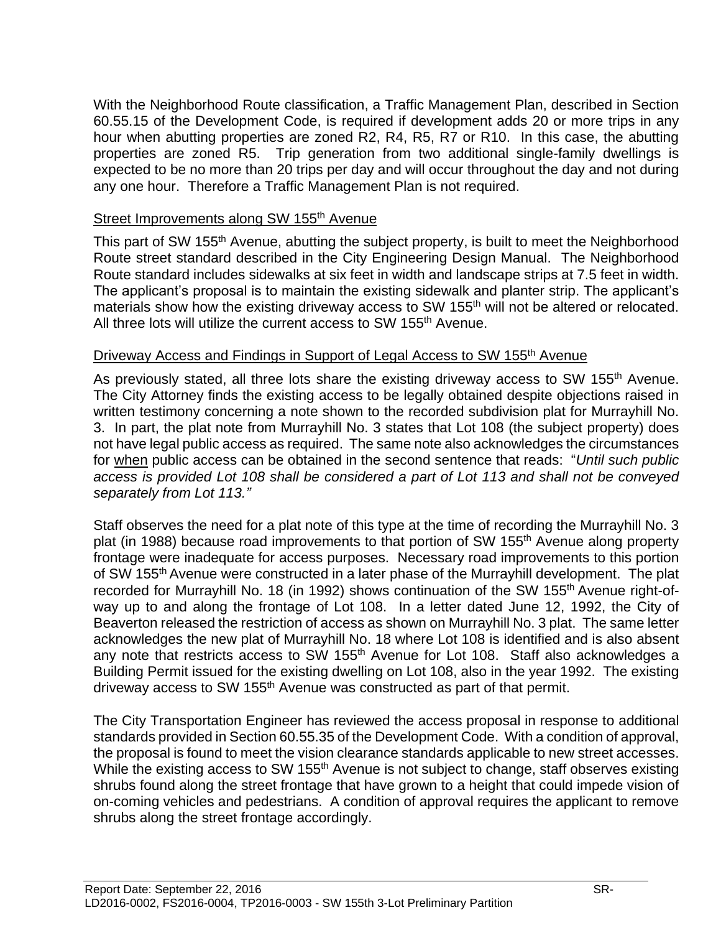With the Neighborhood Route classification, a Traffic Management Plan, described in Section 60.55.15 of the Development Code, is required if development adds 20 or more trips in any hour when abutting properties are zoned R2, R4, R5, R7 or R10. In this case, the abutting properties are zoned R5. Trip generation from two additional single-family dwellings is expected to be no more than 20 trips per day and will occur throughout the day and not during any one hour. Therefore a Traffic Management Plan is not required.

#### Street Improvements along SW 155<sup>th</sup> Avenue

This part of SW 155<sup>th</sup> Avenue, abutting the subject property, is built to meet the Neighborhood Route street standard described in the City Engineering Design Manual. The Neighborhood Route standard includes sidewalks at six feet in width and landscape strips at 7.5 feet in width. The applicant's proposal is to maintain the existing sidewalk and planter strip. The applicant's materials show how the existing driveway access to SW 155<sup>th</sup> will not be altered or relocated. All three lots will utilize the current access to SW 155<sup>th</sup> Avenue.

#### Driveway Access and Findings in Support of Legal Access to SW 155<sup>th</sup> Avenue

As previously stated, all three lots share the existing driveway access to SW 155<sup>th</sup> Avenue. The City Attorney finds the existing access to be legally obtained despite objections raised in written testimony concerning a note shown to the recorded subdivision plat for Murrayhill No. 3. In part, the plat note from Murrayhill No. 3 states that Lot 108 (the subject property) does not have legal public access as required. The same note also acknowledges the circumstances for when public access can be obtained in the second sentence that reads: "*Until such public access is provided Lot 108 shall be considered a part of Lot 113 and shall not be conveyed separately from Lot 113."*

Staff observes the need for a plat note of this type at the time of recording the Murrayhill No. 3 plat (in 1988) because road improvements to that portion of SW 155<sup>th</sup> Avenue along property frontage were inadequate for access purposes. Necessary road improvements to this portion of SW 155<sup>th</sup> Avenue were constructed in a later phase of the Murrayhill development. The plat recorded for Murrayhill No. 18 (in 1992) shows continuation of the SW 155<sup>th</sup> Avenue right-ofway up to and along the frontage of Lot 108. In a letter dated June 12, 1992, the City of Beaverton released the restriction of access as shown on Murrayhill No. 3 plat. The same letter acknowledges the new plat of Murrayhill No. 18 where Lot 108 is identified and is also absent any note that restricts access to SW 155<sup>th</sup> Avenue for Lot 108. Staff also acknowledges a Building Permit issued for the existing dwelling on Lot 108, also in the year 1992. The existing driveway access to SW 155<sup>th</sup> Avenue was constructed as part of that permit.

The City Transportation Engineer has reviewed the access proposal in response to additional standards provided in Section 60.55.35 of the Development Code. With a condition of approval, the proposal is found to meet the vision clearance standards applicable to new street accesses. While the existing access to SW 155<sup>th</sup> Avenue is not subject to change, staff observes existing shrubs found along the street frontage that have grown to a height that could impede vision of on-coming vehicles and pedestrians. A condition of approval requires the applicant to remove shrubs along the street frontage accordingly.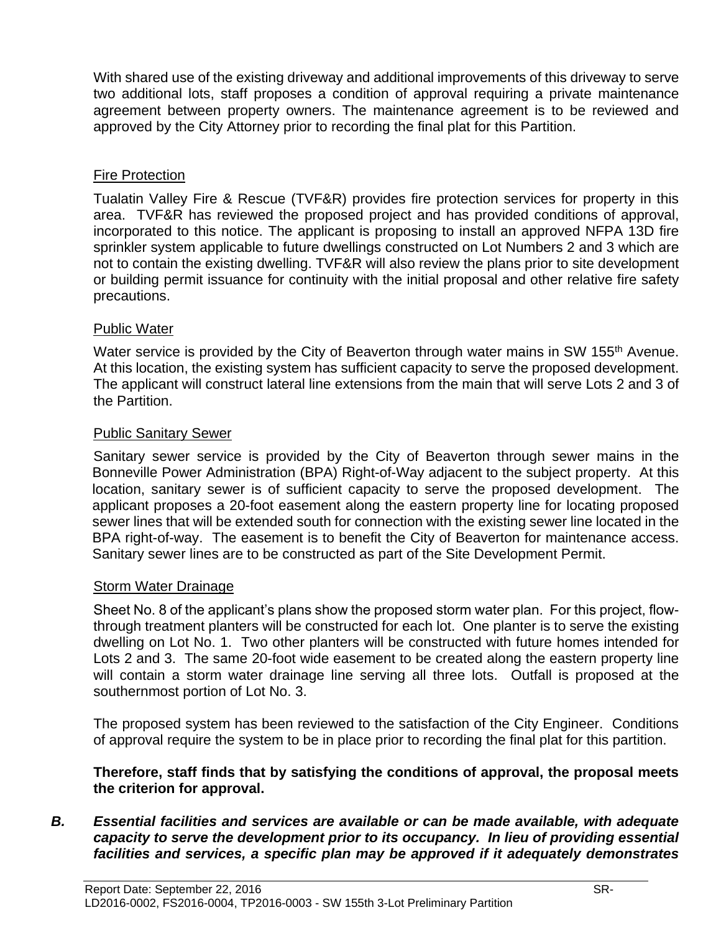With shared use of the existing driveway and additional improvements of this driveway to serve two additional lots, staff proposes a condition of approval requiring a private maintenance agreement between property owners. The maintenance agreement is to be reviewed and approved by the City Attorney prior to recording the final plat for this Partition.

### Fire Protection

Tualatin Valley Fire & Rescue (TVF&R) provides fire protection services for property in this area. TVF&R has reviewed the proposed project and has provided conditions of approval, incorporated to this notice. The applicant is proposing to install an approved NFPA 13D fire sprinkler system applicable to future dwellings constructed on Lot Numbers 2 and 3 which are not to contain the existing dwelling. TVF&R will also review the plans prior to site development or building permit issuance for continuity with the initial proposal and other relative fire safety precautions.

### Public Water

Water service is provided by the City of Beaverton through water mains in SW 155<sup>th</sup> Avenue. At this location, the existing system has sufficient capacity to serve the proposed development. The applicant will construct lateral line extensions from the main that will serve Lots 2 and 3 of the Partition.

### Public Sanitary Sewer

Sanitary sewer service is provided by the City of Beaverton through sewer mains in the Bonneville Power Administration (BPA) Right-of-Way adjacent to the subject property. At this location, sanitary sewer is of sufficient capacity to serve the proposed development. The applicant proposes a 20-foot easement along the eastern property line for locating proposed sewer lines that will be extended south for connection with the existing sewer line located in the BPA right-of-way. The easement is to benefit the City of Beaverton for maintenance access. Sanitary sewer lines are to be constructed as part of the Site Development Permit.

### Storm Water Drainage

Sheet No. 8 of the applicant's plans show the proposed storm water plan. For this project, flowthrough treatment planters will be constructed for each lot. One planter is to serve the existing dwelling on Lot No. 1. Two other planters will be constructed with future homes intended for Lots 2 and 3. The same 20-foot wide easement to be created along the eastern property line will contain a storm water drainage line serving all three lots. Outfall is proposed at the southernmost portion of Lot No. 3.

The proposed system has been reviewed to the satisfaction of the City Engineer. Conditions of approval require the system to be in place prior to recording the final plat for this partition.

**Therefore, staff finds that by satisfying the conditions of approval, the proposal meets the criterion for approval.**

### *B. Essential facilities and services are available or can be made available, with adequate capacity to serve the development prior to its occupancy. In lieu of providing essential facilities and services, a specific plan may be approved if it adequately demonstrates*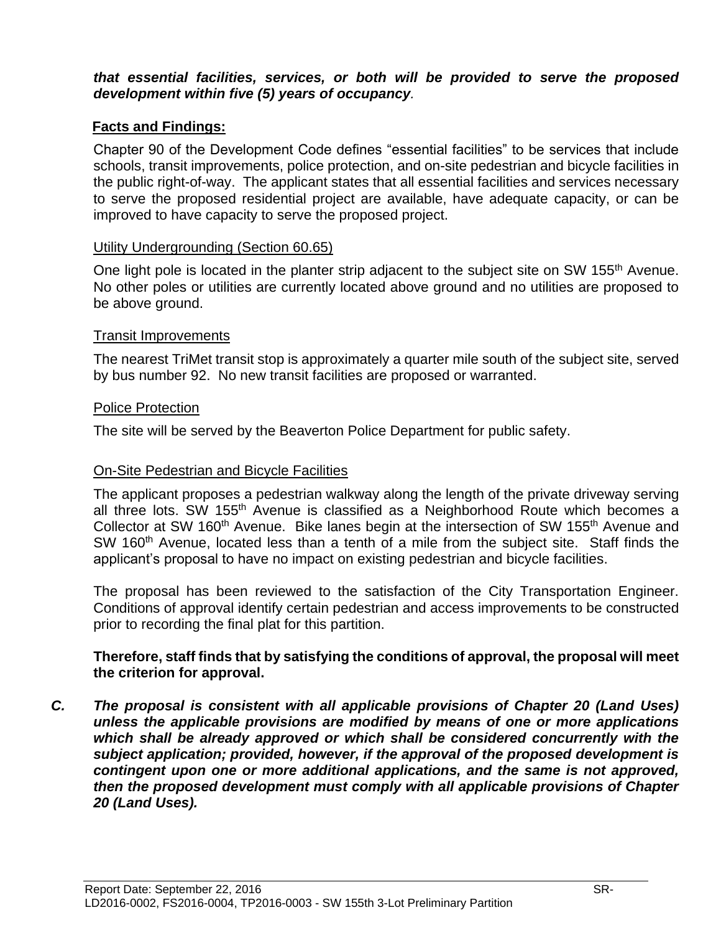#### *that essential facilities, services, or both will be provided to serve the proposed development within five (5) years of occupancy.*

### **Facts and Findings:**

Chapter 90 of the Development Code defines "essential facilities" to be services that include schools, transit improvements, police protection, and on-site pedestrian and bicycle facilities in the public right-of-way. The applicant states that all essential facilities and services necessary to serve the proposed residential project are available, have adequate capacity, or can be improved to have capacity to serve the proposed project.

#### Utility Undergrounding (Section 60.65)

One light pole is located in the planter strip adjacent to the subject site on SW 155<sup>th</sup> Avenue. No other poles or utilities are currently located above ground and no utilities are proposed to be above ground.

#### Transit Improvements

The nearest TriMet transit stop is approximately a quarter mile south of the subject site, served by bus number 92. No new transit facilities are proposed or warranted.

#### Police Protection

The site will be served by the Beaverton Police Department for public safety.

### On-Site Pedestrian and Bicycle Facilities

The applicant proposes a pedestrian walkway along the length of the private driveway serving all three lots. SW 155<sup>th</sup> Avenue is classified as a Neighborhood Route which becomes a Collector at SW 160<sup>th</sup> Avenue. Bike lanes begin at the intersection of SW 155<sup>th</sup> Avenue and SW 160<sup>th</sup> Avenue, located less than a tenth of a mile from the subject site. Staff finds the applicant's proposal to have no impact on existing pedestrian and bicycle facilities.

The proposal has been reviewed to the satisfaction of the City Transportation Engineer. Conditions of approval identify certain pedestrian and access improvements to be constructed prior to recording the final plat for this partition.

#### **Therefore, staff finds that by satisfying the conditions of approval, the proposal will meet the criterion for approval.**

*C. The proposal is consistent with all applicable provisions of Chapter 20 (Land Uses) unless the applicable provisions are modified by means of one or more applications which shall be already approved or which shall be considered concurrently with the subject application; provided, however, if the approval of the proposed development is contingent upon one or more additional applications, and the same is not approved, then the proposed development must comply with all applicable provisions of Chapter 20 (Land Uses).*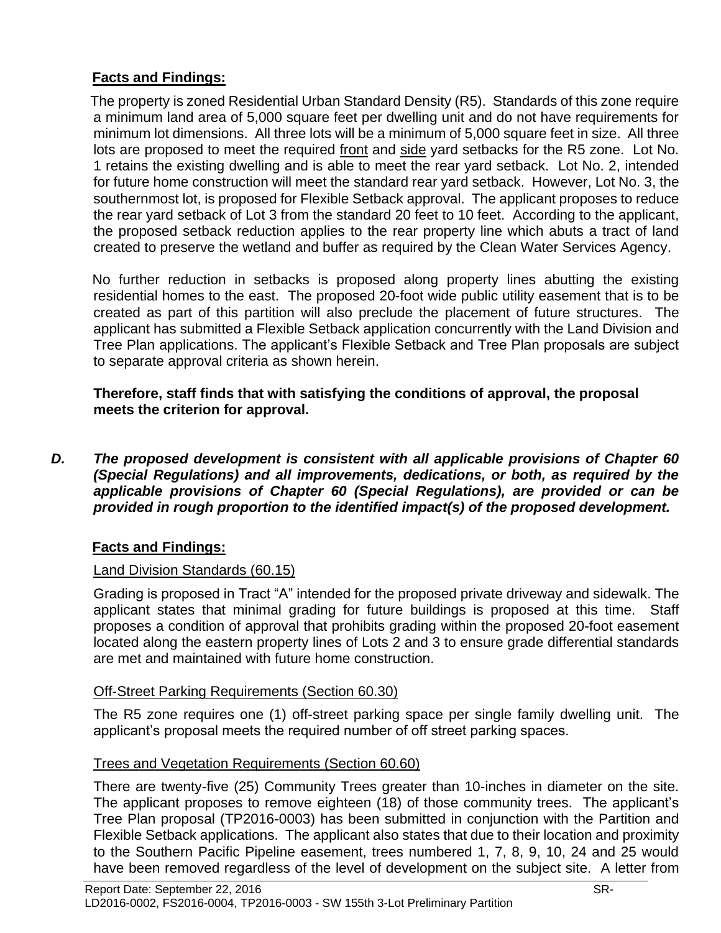### **Facts and Findings:**

 The property is zoned Residential Urban Standard Density (R5). Standards of this zone require a minimum land area of 5,000 square feet per dwelling unit and do not have requirements for minimum lot dimensions. All three lots will be a minimum of 5,000 square feet in size. All three lots are proposed to meet the required front and side yard setbacks for the R5 zone. Lot No. 1 retains the existing dwelling and is able to meet the rear yard setback. Lot No. 2, intended for future home construction will meet the standard rear yard setback. However, Lot No. 3, the southernmost lot, is proposed for Flexible Setback approval. The applicant proposes to reduce the rear yard setback of Lot 3 from the standard 20 feet to 10 feet. According to the applicant, the proposed setback reduction applies to the rear property line which abuts a tract of land created to preserve the wetland and buffer as required by the Clean Water Services Agency.

No further reduction in setbacks is proposed along property lines abutting the existing residential homes to the east. The proposed 20-foot wide public utility easement that is to be created as part of this partition will also preclude the placement of future structures. The applicant has submitted a Flexible Setback application concurrently with the Land Division and Tree Plan applications. The applicant's Flexible Setback and Tree Plan proposals are subject to separate approval criteria as shown herein.

**Therefore, staff finds that with satisfying the conditions of approval, the proposal meets the criterion for approval.**

*D. The proposed development is consistent with all applicable provisions of Chapter 60 (Special Regulations) and all improvements, dedications, or both, as required by the applicable provisions of Chapter 60 (Special Regulations), are provided or can be provided in rough proportion to the identified impact(s) of the proposed development.*

### **Facts and Findings:**

### Land Division Standards (60.15)

Grading is proposed in Tract "A" intended for the proposed private driveway and sidewalk. The applicant states that minimal grading for future buildings is proposed at this time. Staff proposes a condition of approval that prohibits grading within the proposed 20-foot easement located along the eastern property lines of Lots 2 and 3 to ensure grade differential standards are met and maintained with future home construction.

### Off-Street Parking Requirements (Section 60.30)

The R5 zone requires one (1) off-street parking space per single family dwelling unit. The applicant's proposal meets the required number of off street parking spaces.

### Trees and Vegetation Requirements (Section 60.60)

There are twenty-five (25) Community Trees greater than 10-inches in diameter on the site. The applicant proposes to remove eighteen (18) of those community trees. The applicant's Tree Plan proposal (TP2016-0003) has been submitted in conjunction with the Partition and Flexible Setback applications. The applicant also states that due to their location and proximity to the Southern Pacific Pipeline easement, trees numbered 1, 7, 8, 9, 10, 24 and 25 would have been removed regardless of the level of development on the subject site. A letter from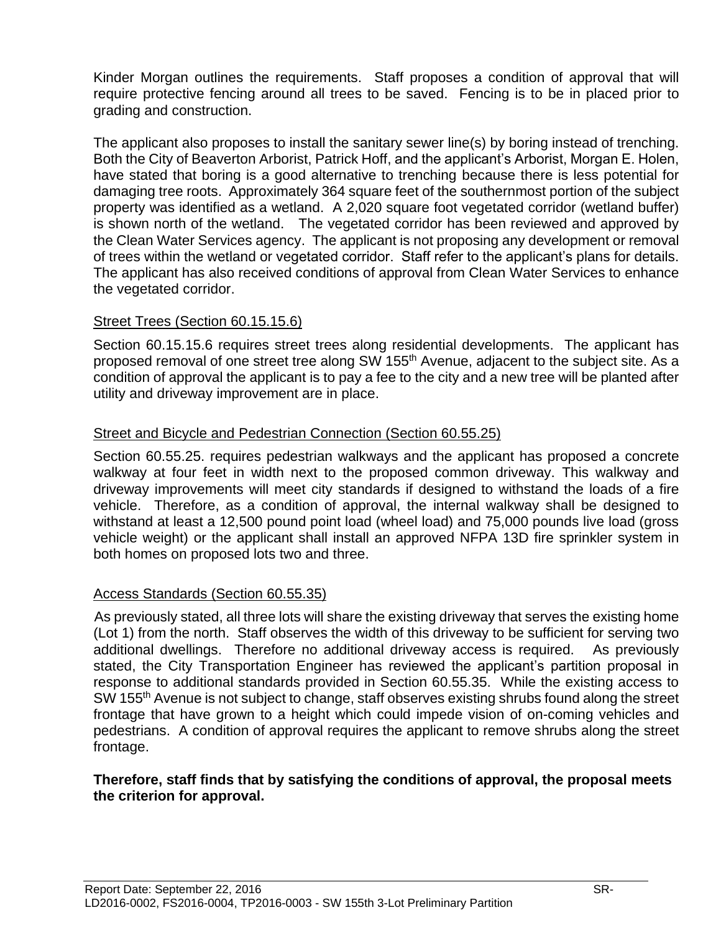Kinder Morgan outlines the requirements. Staff proposes a condition of approval that will require protective fencing around all trees to be saved. Fencing is to be in placed prior to grading and construction.

The applicant also proposes to install the sanitary sewer line(s) by boring instead of trenching. Both the City of Beaverton Arborist, Patrick Hoff, and the applicant's Arborist, Morgan E. Holen, have stated that boring is a good alternative to trenching because there is less potential for damaging tree roots. Approximately 364 square feet of the southernmost portion of the subject property was identified as a wetland. A 2,020 square foot vegetated corridor (wetland buffer) is shown north of the wetland. The vegetated corridor has been reviewed and approved by the Clean Water Services agency. The applicant is not proposing any development or removal of trees within the wetland or vegetated corridor. Staff refer to the applicant's plans for details. The applicant has also received conditions of approval from Clean Water Services to enhance the vegetated corridor.

#### Street Trees (Section 60.15.15.6)

Section 60.15.15.6 requires street trees along residential developments. The applicant has proposed removal of one street tree along SW 155<sup>th</sup> Avenue, adjacent to the subject site. As a condition of approval the applicant is to pay a fee to the city and a new tree will be planted after utility and driveway improvement are in place.

#### Street and Bicycle and Pedestrian Connection (Section 60.55.25)

Section 60.55.25. requires pedestrian walkways and the applicant has proposed a concrete walkway at four feet in width next to the proposed common driveway. This walkway and driveway improvements will meet city standards if designed to withstand the loads of a fire vehicle. Therefore, as a condition of approval, the internal walkway shall be designed to withstand at least a 12,500 pound point load (wheel load) and 75,000 pounds live load (gross vehicle weight) or the applicant shall install an approved NFPA 13D fire sprinkler system in both homes on proposed lots two and three.

### Access Standards (Section 60.55.35)

 As previously stated, all three lots will share the existing driveway that serves the existing home (Lot 1) from the north. Staff observes the width of this driveway to be sufficient for serving two additional dwellings. Therefore no additional driveway access is required. As previously stated, the City Transportation Engineer has reviewed the applicant's partition proposal in response to additional standards provided in Section 60.55.35. While the existing access to SW 155<sup>th</sup> Avenue is not subject to change, staff observes existing shrubs found along the street frontage that have grown to a height which could impede vision of on-coming vehicles and pedestrians. A condition of approval requires the applicant to remove shrubs along the street frontage.

#### **Therefore, staff finds that by satisfying the conditions of approval, the proposal meets the criterion for approval.**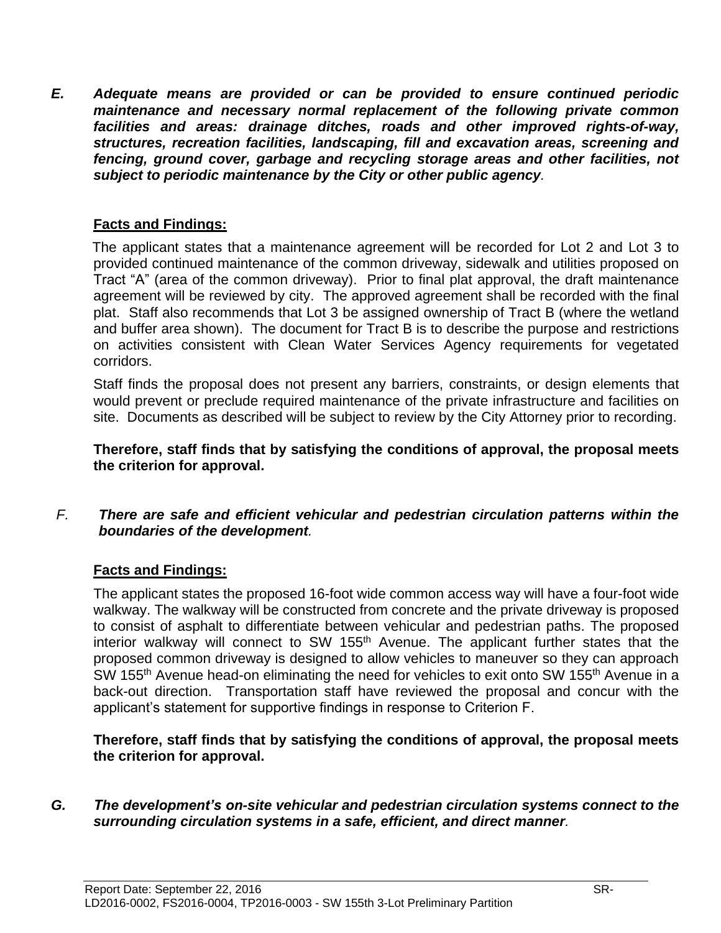*E. Adequate means are provided or can be provided to ensure continued periodic maintenance and necessary normal replacement of the following private common facilities and areas: drainage ditches, roads and other improved rights-of-way, structures, recreation facilities, landscaping, fill and excavation areas, screening and fencing, ground cover, garbage and recycling storage areas and other facilities, not subject to periodic maintenance by the City or other public agency.*

### **Facts and Findings:**

The applicant states that a maintenance agreement will be recorded for Lot 2 and Lot 3 to provided continued maintenance of the common driveway, sidewalk and utilities proposed on Tract "A" (area of the common driveway). Prior to final plat approval, the draft maintenance agreement will be reviewed by city. The approved agreement shall be recorded with the final plat. Staff also recommends that Lot 3 be assigned ownership of Tract B (where the wetland and buffer area shown). The document for Tract B is to describe the purpose and restrictions on activities consistent with Clean Water Services Agency requirements for vegetated corridors.

Staff finds the proposal does not present any barriers, constraints, or design elements that would prevent or preclude required maintenance of the private infrastructure and facilities on site. Documents as described will be subject to review by the City Attorney prior to recording.

**Therefore, staff finds that by satisfying the conditions of approval, the proposal meets the criterion for approval.**

#### *F. There are safe and efficient vehicular and pedestrian circulation patterns within the boundaries of the development.*

### **Facts and Findings:**

The applicant states the proposed 16-foot wide common access way will have a four-foot wide walkway. The walkway will be constructed from concrete and the private driveway is proposed to consist of asphalt to differentiate between vehicular and pedestrian paths. The proposed interior walkway will connect to SW 155<sup>th</sup> Avenue. The applicant further states that the proposed common driveway is designed to allow vehicles to maneuver so they can approach SW 155<sup>th</sup> Avenue head-on eliminating the need for vehicles to exit onto SW 155<sup>th</sup> Avenue in a back-out direction. Transportation staff have reviewed the proposal and concur with the applicant's statement for supportive findings in response to Criterion F.

**Therefore, staff finds that by satisfying the conditions of approval, the proposal meets the criterion for approval.**

#### *G. The development's on-site vehicular and pedestrian circulation systems connect to the surrounding circulation systems in a safe, efficient, and direct manner.*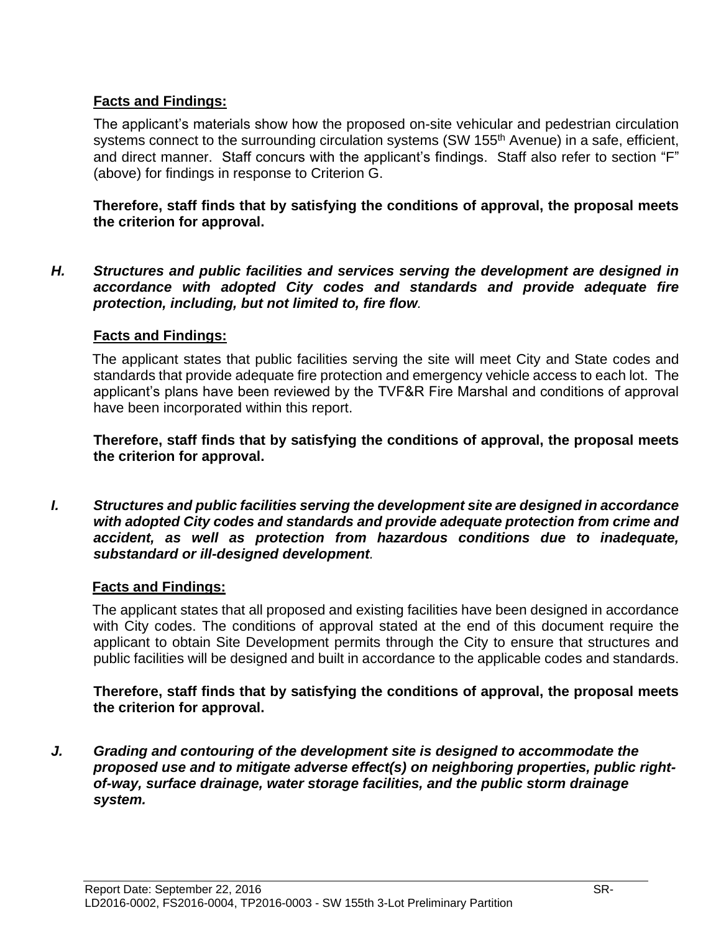### **Facts and Findings:**

The applicant's materials show how the proposed on-site vehicular and pedestrian circulation systems connect to the surrounding circulation systems (SW 155<sup>th</sup> Avenue) in a safe, efficient, and direct manner. Staff concurs with the applicant's findings. Staff also refer to section "F" (above) for findings in response to Criterion G.

**Therefore, staff finds that by satisfying the conditions of approval, the proposal meets the criterion for approval.**

*H. Structures and public facilities and services serving the development are designed in accordance with adopted City codes and standards and provide adequate fire protection, including, but not limited to, fire flow.*

### **Facts and Findings:**

The applicant states that public facilities serving the site will meet City and State codes and standards that provide adequate fire protection and emergency vehicle access to each lot. The applicant's plans have been reviewed by the TVF&R Fire Marshal and conditions of approval have been incorporated within this report.

**Therefore, staff finds that by satisfying the conditions of approval, the proposal meets the criterion for approval.**

*I. Structures and public facilities serving the development site are designed in accordance with adopted City codes and standards and provide adequate protection from crime and accident, as well as protection from hazardous conditions due to inadequate, substandard or ill-designed development.*

### **Facts and Findings:**

The applicant states that all proposed and existing facilities have been designed in accordance with City codes. The conditions of approval stated at the end of this document require the applicant to obtain Site Development permits through the City to ensure that structures and public facilities will be designed and built in accordance to the applicable codes and standards.

**Therefore, staff finds that by satisfying the conditions of approval, the proposal meets the criterion for approval.**

*J. Grading and contouring of the development site is designed to accommodate the proposed use and to mitigate adverse effect(s) on neighboring properties, public rightof-way, surface drainage, water storage facilities, and the public storm drainage system.*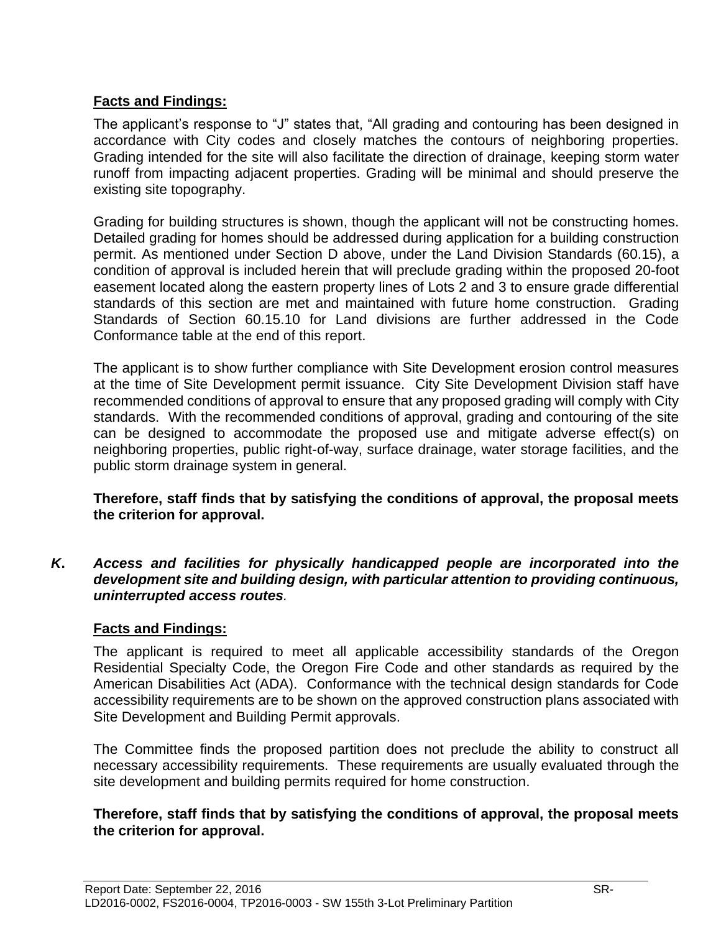### **Facts and Findings:**

The applicant's response to "J" states that, "All grading and contouring has been designed in accordance with City codes and closely matches the contours of neighboring properties. Grading intended for the site will also facilitate the direction of drainage, keeping storm water runoff from impacting adjacent properties. Grading will be minimal and should preserve the existing site topography.

Grading for building structures is shown, though the applicant will not be constructing homes. Detailed grading for homes should be addressed during application for a building construction permit. As mentioned under Section D above, under the Land Division Standards (60.15), a condition of approval is included herein that will preclude grading within the proposed 20-foot easement located along the eastern property lines of Lots 2 and 3 to ensure grade differential standards of this section are met and maintained with future home construction. Grading Standards of Section 60.15.10 for Land divisions are further addressed in the Code Conformance table at the end of this report.

The applicant is to show further compliance with Site Development erosion control measures at the time of Site Development permit issuance. City Site Development Division staff have recommended conditions of approval to ensure that any proposed grading will comply with City standards. With the recommended conditions of approval, grading and contouring of the site can be designed to accommodate the proposed use and mitigate adverse effect(s) on neighboring properties, public right-of-way, surface drainage, water storage facilities, and the public storm drainage system in general.

**Therefore, staff finds that by satisfying the conditions of approval, the proposal meets the criterion for approval.**

*K***.** *Access and facilities for physically handicapped people are incorporated into the development site and building design, with particular attention to providing continuous, uninterrupted access routes.*

### **Facts and Findings:**

The applicant is required to meet all applicable accessibility standards of the Oregon Residential Specialty Code, the Oregon Fire Code and other standards as required by the American Disabilities Act (ADA). Conformance with the technical design standards for Code accessibility requirements are to be shown on the approved construction plans associated with Site Development and Building Permit approvals.

The Committee finds the proposed partition does not preclude the ability to construct all necessary accessibility requirements. These requirements are usually evaluated through the site development and building permits required for home construction.

#### **Therefore, staff finds that by satisfying the conditions of approval, the proposal meets the criterion for approval.**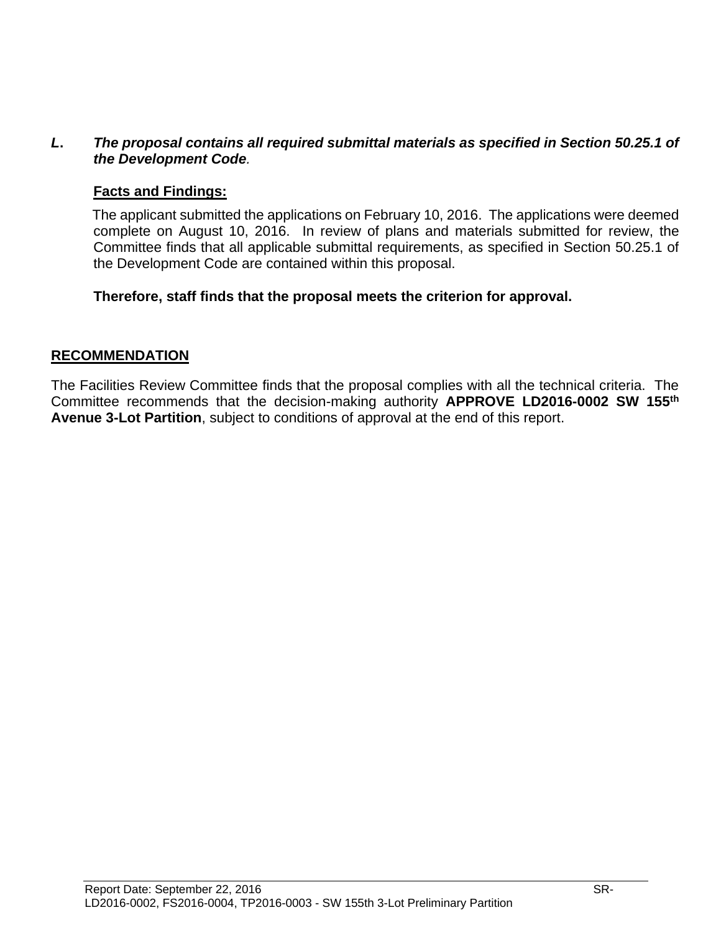#### *L***.** *The proposal contains all required submittal materials as specified in Section 50.25.1 of the Development Code.*

### **Facts and Findings:**

The applicant submitted the applications on February 10, 2016. The applications were deemed complete on August 10, 2016. In review of plans and materials submitted for review, the Committee finds that all applicable submittal requirements, as specified in Section 50.25.1 of the Development Code are contained within this proposal.

**Therefore, staff finds that the proposal meets the criterion for approval.**

#### **RECOMMENDATION**

The Facilities Review Committee finds that the proposal complies with all the technical criteria. The Committee recommends that the decision-making authority **APPROVE LD2016-0002 SW 155th Avenue 3-Lot Partition**, subject to conditions of approval at the end of this report.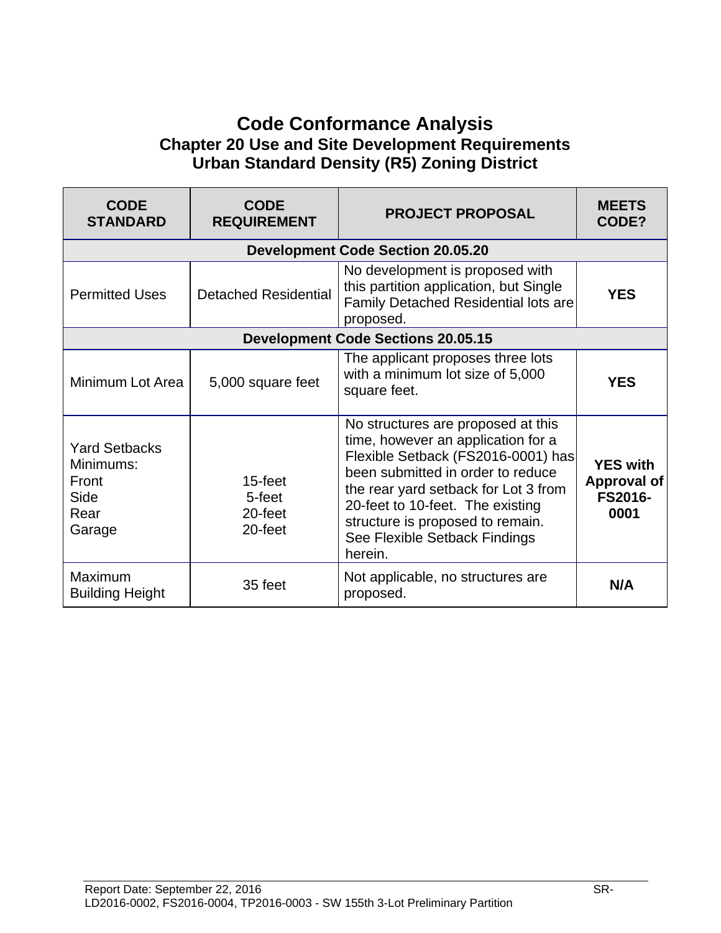# **Code Conformance Analysis Chapter 20 Use and Site Development Requirements Urban Standard Density (R5) Zoning District**

| <b>CODE</b><br><b>STANDARD</b>                                       | <b>CODE</b><br><b>REQUIREMENT</b>       | <b>PROJECT PROPOSAL</b>                                                                                                                                                                                                                                                                                         | <b>MEETS</b><br>CODE?                                           |
|----------------------------------------------------------------------|-----------------------------------------|-----------------------------------------------------------------------------------------------------------------------------------------------------------------------------------------------------------------------------------------------------------------------------------------------------------------|-----------------------------------------------------------------|
|                                                                      |                                         | <b>Development Code Section 20.05.20</b>                                                                                                                                                                                                                                                                        |                                                                 |
| <b>Permitted Uses</b>                                                | <b>Detached Residential</b>             | No development is proposed with<br>this partition application, but Single<br><b>Family Detached Residential lots are</b><br>proposed.                                                                                                                                                                           | <b>YES</b>                                                      |
|                                                                      |                                         | <b>Development Code Sections 20.05.15</b>                                                                                                                                                                                                                                                                       |                                                                 |
| Minimum Lot Area                                                     | 5,000 square feet                       | The applicant proposes three lots<br>with a minimum lot size of 5,000<br>square feet.                                                                                                                                                                                                                           | <b>YES</b>                                                      |
| <b>Yard Setbacks</b><br>Minimums:<br>Front<br>Side<br>Rear<br>Garage | 15-feet<br>5-feet<br>20-feet<br>20-feet | No structures are proposed at this<br>time, however an application for a<br>Flexible Setback (FS2016-0001) has<br>been submitted in order to reduce<br>the rear yard setback for Lot 3 from<br>20-feet to 10-feet. The existing<br>structure is proposed to remain.<br>See Flexible Setback Findings<br>herein. | <b>YES with</b><br><b>Approval of</b><br><b>FS2016-</b><br>0001 |
| <b>Maximum</b><br><b>Building Height</b>                             | 35 feet                                 | Not applicable, no structures are<br>proposed.                                                                                                                                                                                                                                                                  | N/A                                                             |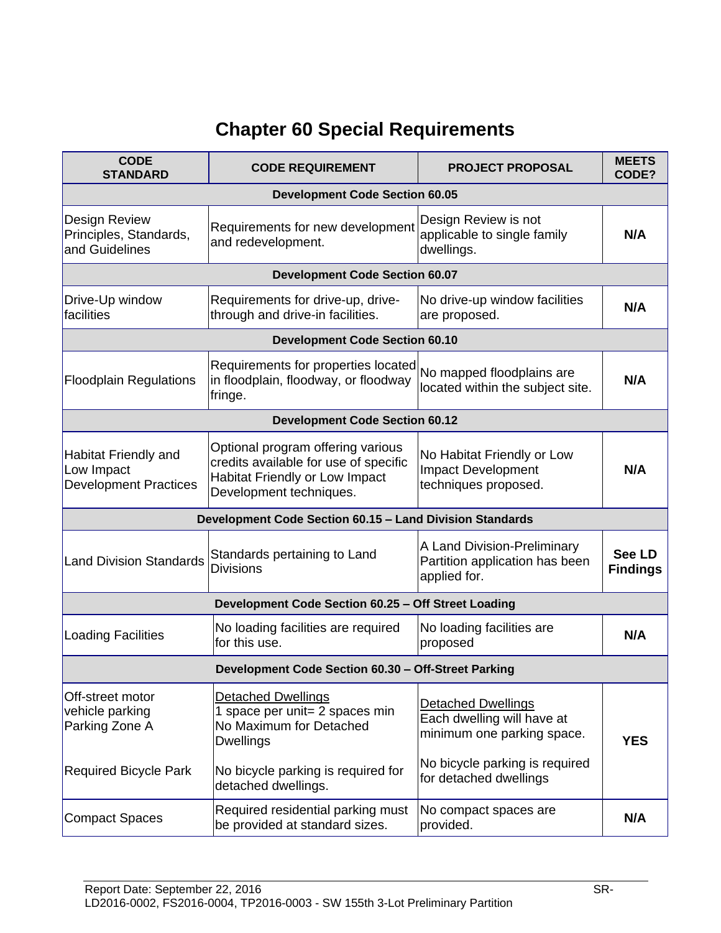# **Chapter 60 Special Requirements**

| <b>CODE</b><br><b>STANDARD</b>                                            | <b>CODE REQUIREMENT</b>                                                                                                                 | <b>PROJECT PROPOSAL</b>                                                               | <b>MEETS</b><br>CODE?     |  |  |
|---------------------------------------------------------------------------|-----------------------------------------------------------------------------------------------------------------------------------------|---------------------------------------------------------------------------------------|---------------------------|--|--|
| <b>Development Code Section 60.05</b>                                     |                                                                                                                                         |                                                                                       |                           |  |  |
| <b>Design Review</b><br>Principles, Standards,<br>and Guidelines          | Requirements for new development<br>and redevelopment.                                                                                  | Design Review is not<br>applicable to single family<br>dwellings.                     | N/A                       |  |  |
|                                                                           | <b>Development Code Section 60.07</b>                                                                                                   |                                                                                       |                           |  |  |
| Drive-Up window<br>facilities                                             | Requirements for drive-up, drive-<br>through and drive-in facilities.                                                                   | No drive-up window facilities<br>are proposed.                                        | N/A                       |  |  |
|                                                                           | <b>Development Code Section 60.10</b>                                                                                                   |                                                                                       |                           |  |  |
| <b>Floodplain Regulations</b>                                             | Requirements for properties located<br>in floodplain, floodway, or floodway<br>fringe.                                                  | No mapped floodplains are<br>located within the subject site.                         | N/A                       |  |  |
|                                                                           | <b>Development Code Section 60.12</b>                                                                                                   |                                                                                       |                           |  |  |
| <b>Habitat Friendly and</b><br>Low Impact<br><b>Development Practices</b> | Optional program offering various<br>credits available for use of specific<br>Habitat Friendly or Low Impact<br>Development techniques. | No Habitat Friendly or Low<br><b>Impact Development</b><br>techniques proposed.       | N/A                       |  |  |
|                                                                           | Development Code Section 60.15 - Land Division Standards                                                                                |                                                                                       |                           |  |  |
| <b>Land Division Standards</b>                                            | Standards pertaining to Land<br><b>Divisions</b>                                                                                        | A Land Division-Preliminary<br>Partition application has been<br>applied for.         | See LD<br><b>Findings</b> |  |  |
|                                                                           | Development Code Section 60.25 - Off Street Loading                                                                                     |                                                                                       |                           |  |  |
| Loading Facilities                                                        | No loading facilities are required<br>for this use.                                                                                     | No loading facilities are<br>proposed                                                 | N/A                       |  |  |
|                                                                           | Development Code Section 60.30 - Off-Street Parking                                                                                     |                                                                                       |                           |  |  |
| Off-street motor<br>vehicle parking<br>Parking Zone A                     | <b>Detached Dwellings</b><br>1 space per unit= 2 spaces min<br>No Maximum for Detached<br><b>Dwellings</b>                              | <b>Detached Dwellings</b><br>Each dwelling will have at<br>minimum one parking space. | <b>YES</b>                |  |  |
| <b>Required Bicycle Park</b>                                              | No bicycle parking is required for<br>detached dwellings.                                                                               | No bicycle parking is required<br>for detached dwellings                              |                           |  |  |
| <b>Compact Spaces</b>                                                     | Required residential parking must<br>be provided at standard sizes.                                                                     | No compact spaces are<br>provided.                                                    | N/A                       |  |  |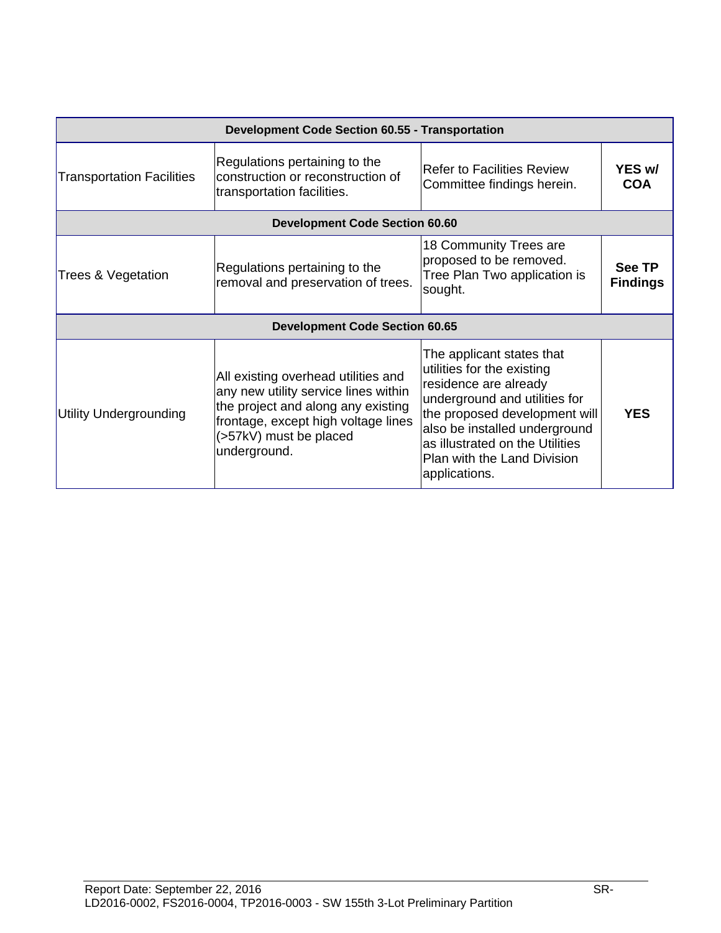| <b>Development Code Section 60.55 - Transportation</b> |                                                                                                                                                                                                    |                                                                                                                                                                                                                                                                        |                                  |  |  |
|--------------------------------------------------------|----------------------------------------------------------------------------------------------------------------------------------------------------------------------------------------------------|------------------------------------------------------------------------------------------------------------------------------------------------------------------------------------------------------------------------------------------------------------------------|----------------------------------|--|--|
| <b>Transportation Facilities</b>                       | Regulations pertaining to the<br>construction or reconstruction of<br>transportation facilities.                                                                                                   | <b>Refer to Facilities Review</b><br>Committee findings herein.                                                                                                                                                                                                        | YES w/<br><b>COA</b>             |  |  |
|                                                        | <b>Development Code Section 60.60</b>                                                                                                                                                              |                                                                                                                                                                                                                                                                        |                                  |  |  |
| Trees & Vegetation                                     | Regulations pertaining to the<br>removal and preservation of trees.                                                                                                                                | 18 Community Trees are<br>proposed to be removed.<br>Tree Plan Two application is<br>sought.                                                                                                                                                                           | <b>See TP</b><br><b>Findings</b> |  |  |
|                                                        | <b>Development Code Section 60.65</b>                                                                                                                                                              |                                                                                                                                                                                                                                                                        |                                  |  |  |
| <b>Utility Undergrounding</b>                          | All existing overhead utilities and<br>any new utility service lines within<br>the project and along any existing<br>frontage, except high voltage lines<br>(>57kV) must be placed<br>underground. | The applicant states that<br>utilities for the existing<br>residence are already<br>underground and utilities for<br>the proposed development will<br>also be installed underground<br>as illustrated on the Utilities<br>Plan with the Land Division<br>applications. | <b>YES</b>                       |  |  |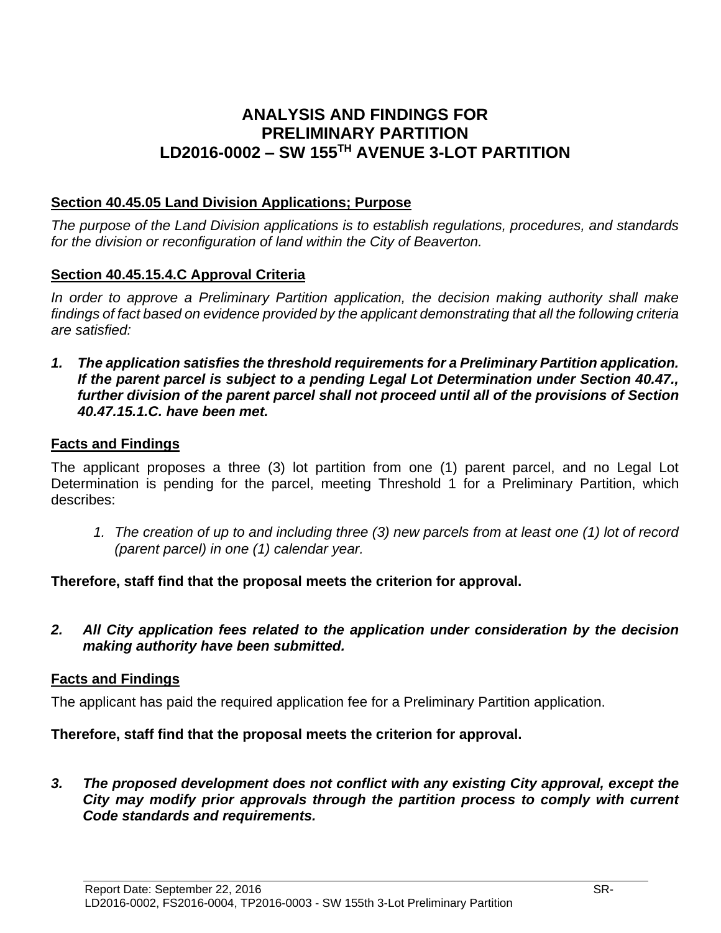# **ANALYSIS AND FINDINGS FOR PRELIMINARY PARTITION LD2016-0002 – SW 155TH AVENUE 3-LOT PARTITION**

### **Section 40.45.05 Land Division Applications; Purpose**

*The purpose of the Land Division applications is to establish regulations, procedures, and standards for the division or reconfiguration of land within the City of Beaverton.* 

### **Section 40.45.15.4.C Approval Criteria**

*In order to approve a Preliminary Partition application, the decision making authority shall make findings of fact based on evidence provided by the applicant demonstrating that all the following criteria are satisfied:*

*1. The application satisfies the threshold requirements for a Preliminary Partition application. If the parent parcel is subject to a pending Legal Lot Determination under Section 40.47., further division of the parent parcel shall not proceed until all of the provisions of Section 40.47.15.1.C. have been met.*

### **Facts and Findings**

The applicant proposes a three (3) lot partition from one (1) parent parcel, and no Legal Lot Determination is pending for the parcel, meeting Threshold 1 for a Preliminary Partition, which describes:

*1. The creation of up to and including three (3) new parcels from at least one (1) lot of record (parent parcel) in one (1) calendar year.*

### **Therefore, staff find that the proposal meets the criterion for approval.**

*2. All City application fees related to the application under consideration by the decision making authority have been submitted.*

### **Facts and Findings**

The applicant has paid the required application fee for a Preliminary Partition application.

### **Therefore, staff find that the proposal meets the criterion for approval.**

*3. The proposed development does not conflict with any existing City approval, except the City may modify prior approvals through the partition process to comply with current Code standards and requirements.*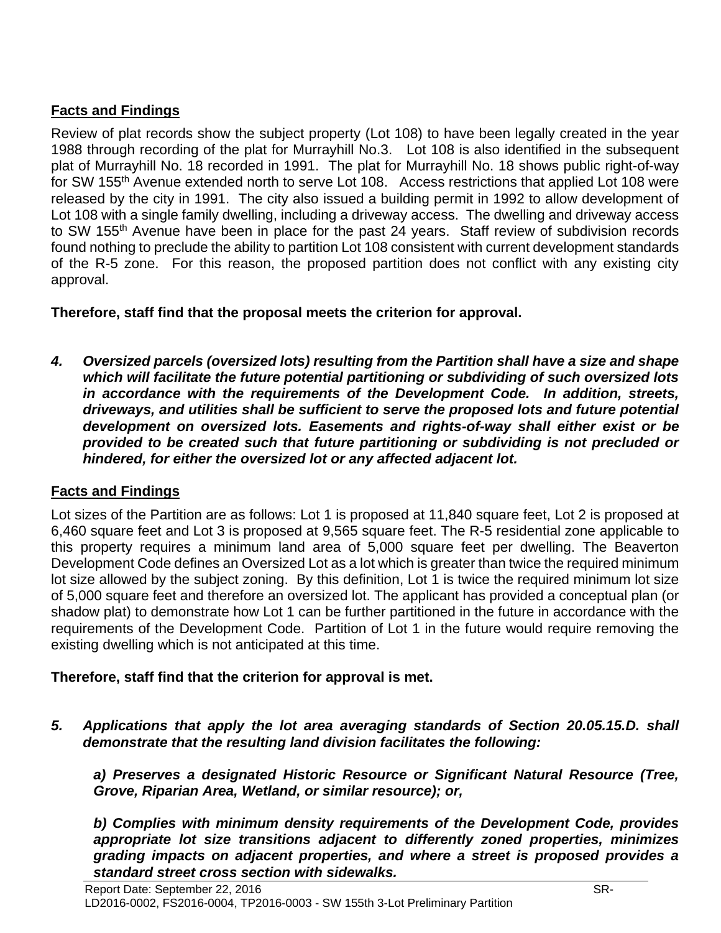### **Facts and Findings**

Review of plat records show the subject property (Lot 108) to have been legally created in the year 1988 through recording of the plat for Murrayhill No.3. Lot 108 is also identified in the subsequent plat of Murrayhill No. 18 recorded in 1991. The plat for Murrayhill No. 18 shows public right-of-way for SW 155<sup>th</sup> Avenue extended north to serve Lot 108. Access restrictions that applied Lot 108 were released by the city in 1991. The city also issued a building permit in 1992 to allow development of Lot 108 with a single family dwelling, including a driveway access. The dwelling and driveway access to SW 155<sup>th</sup> Avenue have been in place for the past 24 years. Staff review of subdivision records found nothing to preclude the ability to partition Lot 108 consistent with current development standards of the R-5 zone. For this reason, the proposed partition does not conflict with any existing city approval.

**Therefore, staff find that the proposal meets the criterion for approval.**

*4. Oversized parcels (oversized lots) resulting from the Partition shall have a size and shape which will facilitate the future potential partitioning or subdividing of such oversized lots in accordance with the requirements of the Development Code. In addition, streets, driveways, and utilities shall be sufficient to serve the proposed lots and future potential development on oversized lots. Easements and rights-of-way shall either exist or be provided to be created such that future partitioning or subdividing is not precluded or hindered, for either the oversized lot or any affected adjacent lot.*

### **Facts and Findings**

Lot sizes of the Partition are as follows: Lot 1 is proposed at 11,840 square feet, Lot 2 is proposed at 6,460 square feet and Lot 3 is proposed at 9,565 square feet. The R-5 residential zone applicable to this property requires a minimum land area of 5,000 square feet per dwelling. The Beaverton Development Code defines an Oversized Lot as a lot which is greater than twice the required minimum lot size allowed by the subject zoning. By this definition, Lot 1 is twice the required minimum lot size of 5,000 square feet and therefore an oversized lot. The applicant has provided a conceptual plan (or shadow plat) to demonstrate how Lot 1 can be further partitioned in the future in accordance with the requirements of the Development Code. Partition of Lot 1 in the future would require removing the existing dwelling which is not anticipated at this time.

### **Therefore, staff find that the criterion for approval is met.**

*5. Applications that apply the lot area averaging standards of Section 20.05.15.D. shall demonstrate that the resulting land division facilitates the following:* 

*a) Preserves a designated Historic Resource or Significant Natural Resource (Tree, Grove, Riparian Area, Wetland, or similar resource); or,* 

*b) Complies with minimum density requirements of the Development Code, provides appropriate lot size transitions adjacent to differently zoned properties, minimizes grading impacts on adjacent properties, and where a street is proposed provides a standard street cross section with sidewalks.*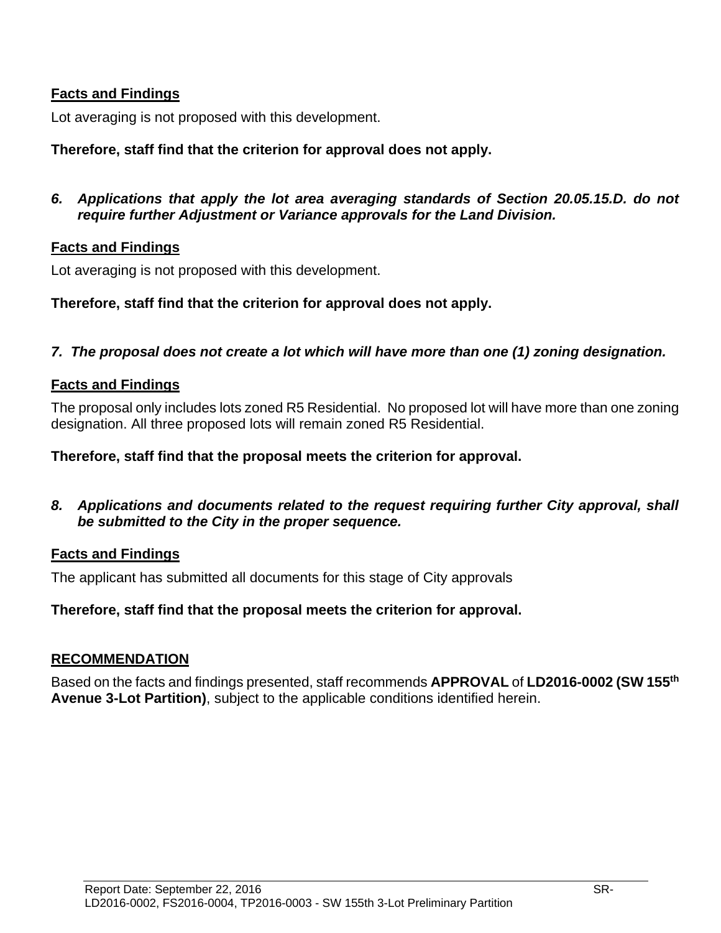### **Facts and Findings**

Lot averaging is not proposed with this development.

### **Therefore, staff find that the criterion for approval does not apply.**

*6. Applications that apply the lot area averaging standards of Section 20.05.15.D. do not require further Adjustment or Variance approvals for the Land Division.*

#### **Facts and Findings**

Lot averaging is not proposed with this development.

#### **Therefore, staff find that the criterion for approval does not apply.**

### *7. The proposal does not create a lot which will have more than one (1) zoning designation.*

#### **Facts and Findings**

The proposal only includes lots zoned R5 Residential. No proposed lot will have more than one zoning designation. All three proposed lots will remain zoned R5 Residential.

#### **Therefore, staff find that the proposal meets the criterion for approval.**

*8. Applications and documents related to the request requiring further City approval, shall be submitted to the City in the proper sequence.*

#### **Facts and Findings**

The applicant has submitted all documents for this stage of City approvals

### **Therefore, staff find that the proposal meets the criterion for approval.**

#### **RECOMMENDATION**

Based on the facts and findings presented, staff recommends **APPROVAL** of **LD2016-0002 (SW 155th Avenue 3-Lot Partition)**, subject to the applicable conditions identified herein.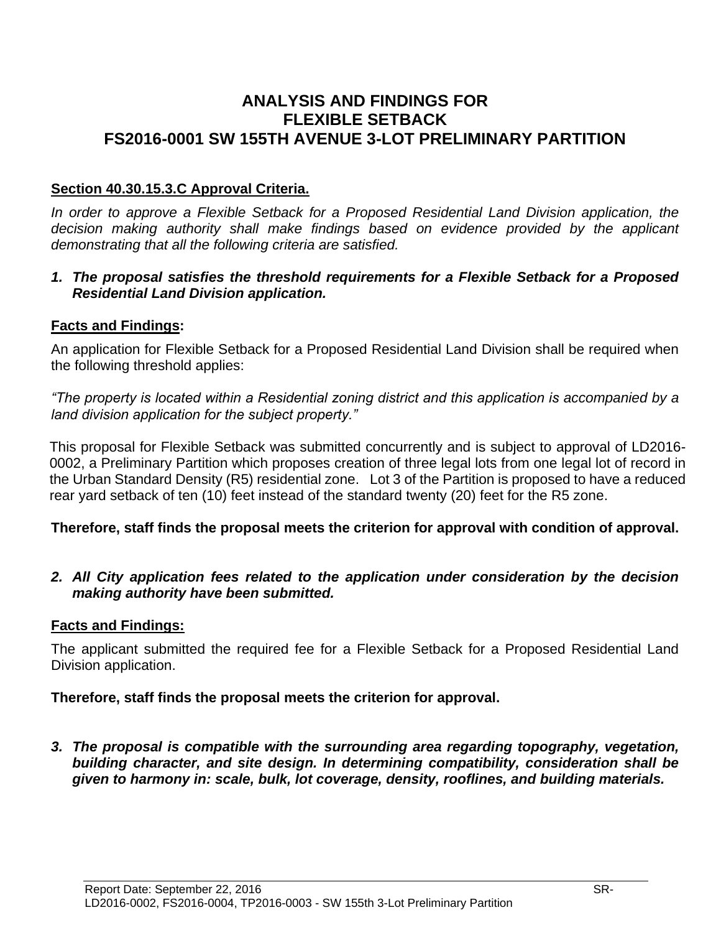## **ANALYSIS AND FINDINGS FOR FLEXIBLE SETBACK FS2016-0001 SW 155TH AVENUE 3-LOT PRELIMINARY PARTITION**

### **Section 40.30.15.3.C Approval Criteria.**

In order to approve a Flexible Setback for a Proposed Residential Land Division application, the *decision making authority shall make findings based on evidence provided by the applicant demonstrating that all the following criteria are satisfied.*

### *1. The proposal satisfies the threshold requirements for a Flexible Setback for a Proposed Residential Land Division application.*

### **Facts and Findings:**

An application for Flexible Setback for a Proposed Residential Land Division shall be required when the following threshold applies:

*"The property is located within a Residential zoning district and this application is accompanied by a land division application for the subject property."*

This proposal for Flexible Setback was submitted concurrently and is subject to approval of LD2016- 0002, a Preliminary Partition which proposes creation of three legal lots from one legal lot of record in the Urban Standard Density (R5) residential zone. Lot 3 of the Partition is proposed to have a reduced rear yard setback of ten (10) feet instead of the standard twenty (20) feet for the R5 zone.

### **Therefore, staff finds the proposal meets the criterion for approval with condition of approval.**

*2. All City application fees related to the application under consideration by the decision making authority have been submitted.*

### **Facts and Findings:**

The applicant submitted the required fee for a Flexible Setback for a Proposed Residential Land Division application.

### **Therefore, staff finds the proposal meets the criterion for approval.**

*3. The proposal is compatible with the surrounding area regarding topography, vegetation, building character, and site design. In determining compatibility, consideration shall be given to harmony in: scale, bulk, lot coverage, density, rooflines, and building materials.*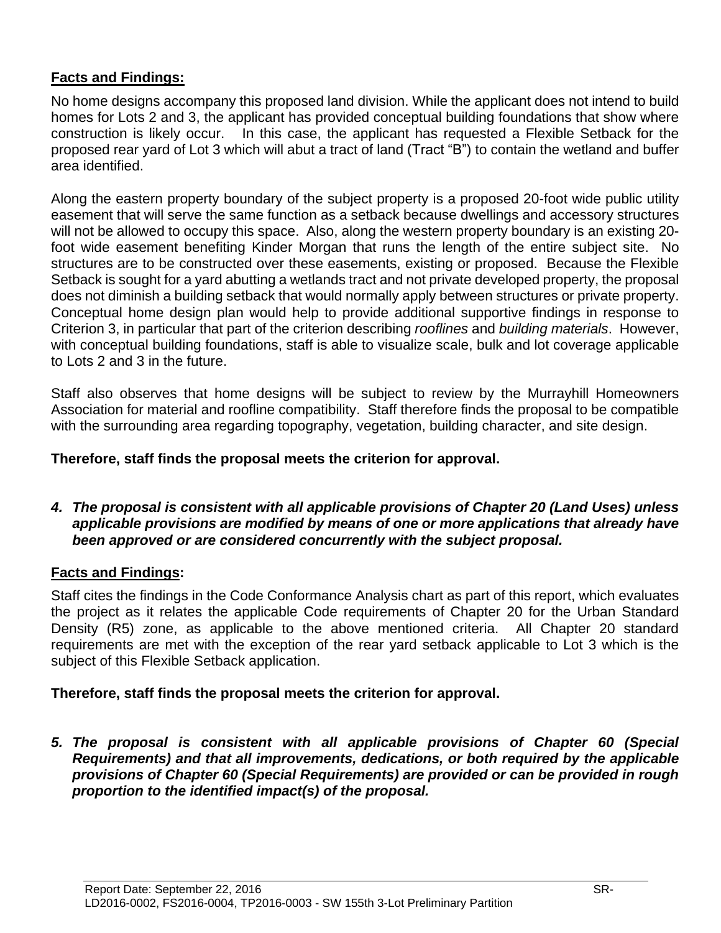### **Facts and Findings:**

No home designs accompany this proposed land division. While the applicant does not intend to build homes for Lots 2 and 3, the applicant has provided conceptual building foundations that show where construction is likely occur. In this case, the applicant has requested a Flexible Setback for the proposed rear yard of Lot 3 which will abut a tract of land (Tract "B") to contain the wetland and buffer area identified.

Along the eastern property boundary of the subject property is a proposed 20-foot wide public utility easement that will serve the same function as a setback because dwellings and accessory structures will not be allowed to occupy this space. Also, along the western property boundary is an existing 20 foot wide easement benefiting Kinder Morgan that runs the length of the entire subject site. No structures are to be constructed over these easements, existing or proposed. Because the Flexible Setback is sought for a yard abutting a wetlands tract and not private developed property, the proposal does not diminish a building setback that would normally apply between structures or private property. Conceptual home design plan would help to provide additional supportive findings in response to Criterion 3, in particular that part of the criterion describing *rooflines* and *building materials*. However, with conceptual building foundations, staff is able to visualize scale, bulk and lot coverage applicable to Lots 2 and 3 in the future.

Staff also observes that home designs will be subject to review by the Murrayhill Homeowners Association for material and roofline compatibility. Staff therefore finds the proposal to be compatible with the surrounding area regarding topography, vegetation, building character, and site design.

### **Therefore, staff finds the proposal meets the criterion for approval.**

*4. The proposal is consistent with all applicable provisions of Chapter 20 (Land Uses) unless applicable provisions are modified by means of one or more applications that already have been approved or are considered concurrently with the subject proposal.*

### **Facts and Findings:**

Staff cites the findings in the Code Conformance Analysis chart as part of this report, which evaluates the project as it relates the applicable Code requirements of Chapter 20 for the Urban Standard Density (R5) zone, as applicable to the above mentioned criteria. All Chapter 20 standard requirements are met with the exception of the rear yard setback applicable to Lot 3 which is the subject of this Flexible Setback application.

### **Therefore, staff finds the proposal meets the criterion for approval.**

*5. The proposal is consistent with all applicable provisions of Chapter 60 (Special Requirements) and that all improvements, dedications, or both required by the applicable provisions of Chapter 60 (Special Requirements) are provided or can be provided in rough proportion to the identified impact(s) of the proposal.*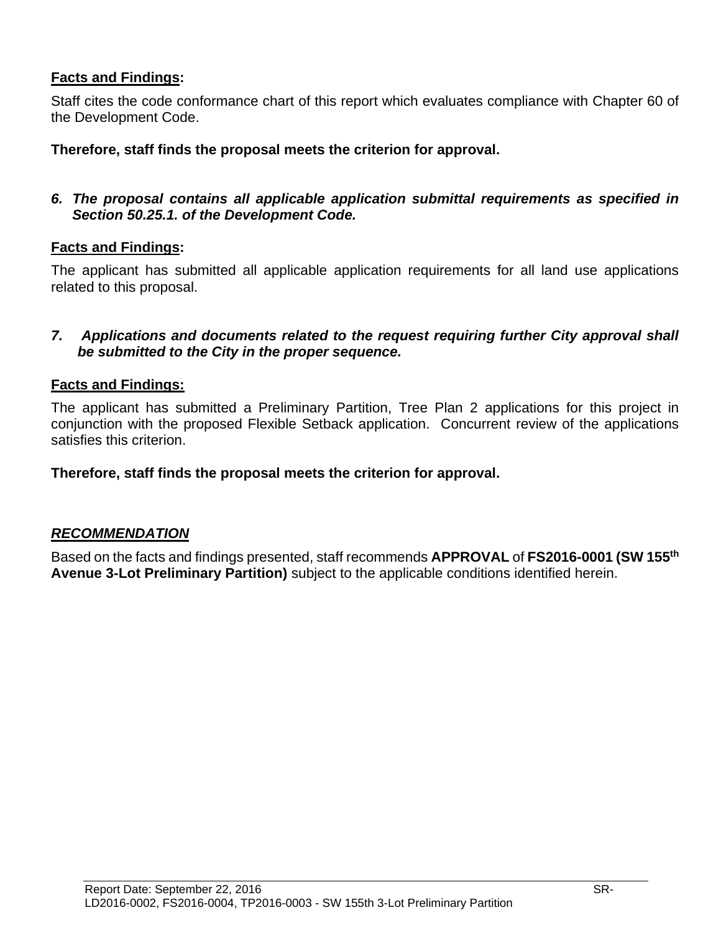### **Facts and Findings:**

Staff cites the code conformance chart of this report which evaluates compliance with Chapter 60 of the Development Code.

#### **Therefore, staff finds the proposal meets the criterion for approval.**

### *6. The proposal contains all applicable application submittal requirements as specified in Section 50.25.1. of the Development Code.*

#### **Facts and Findings:**

The applicant has submitted all applicable application requirements for all land use applications related to this proposal.

#### *7. Applications and documents related to the request requiring further City approval shall be submitted to the City in the proper sequence.*

#### **Facts and Findings:**

The applicant has submitted a Preliminary Partition, Tree Plan 2 applications for this project in conjunction with the proposed Flexible Setback application. Concurrent review of the applications satisfies this criterion.

#### **Therefore, staff finds the proposal meets the criterion for approval.**

### *RECOMMENDATION*

Based on the facts and findings presented, staff recommends **APPROVAL** of **FS2016-0001 (SW 155th Avenue 3-Lot Preliminary Partition)** subject to the applicable conditions identified herein.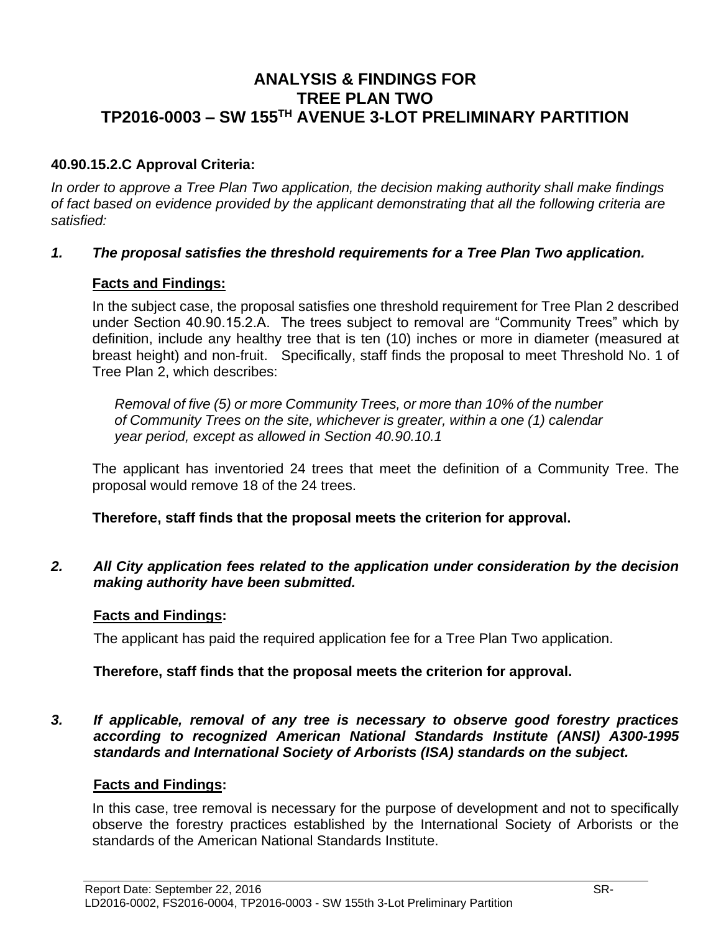# **ANALYSIS & FINDINGS FOR TREE PLAN TWO TP2016-0003 – SW 155TH AVENUE 3-LOT PRELIMINARY PARTITION**

### **40.90.15.2.C Approval Criteria:**

*In order to approve a Tree Plan Two application, the decision making authority shall make findings of fact based on evidence provided by the applicant demonstrating that all the following criteria are satisfied:*

#### *1. The proposal satisfies the threshold requirements for a Tree Plan Two application.*

#### **Facts and Findings:**

In the subject case, the proposal satisfies one threshold requirement for Tree Plan 2 described under Section 40.90.15.2.A. The trees subject to removal are "Community Trees" which by definition, include any healthy tree that is ten (10) inches or more in diameter (measured at breast height) and non-fruit. Specifically, staff finds the proposal to meet Threshold No. 1 of Tree Plan 2, which describes:

*Removal of five (5) or more Community Trees, or more than 10% of the number of Community Trees on the site, whichever is greater, within a one (1) calendar year period, except as allowed in Section 40.90.10.1*

The applicant has inventoried 24 trees that meet the definition of a Community Tree. The proposal would remove 18 of the 24 trees.

**Therefore, staff finds that the proposal meets the criterion for approval.**

*2. All City application fees related to the application under consideration by the decision making authority have been submitted.*

#### **Facts and Findings:**

The applicant has paid the required application fee for a Tree Plan Two application.

#### **Therefore, staff finds that the proposal meets the criterion for approval.**

*3. If applicable, removal of any tree is necessary to observe good forestry practices according to recognized American National Standards Institute (ANSI) A300-1995 standards and International Society of Arborists (ISA) standards on the subject.*

#### **Facts and Findings:**

In this case, tree removal is necessary for the purpose of development and not to specifically observe the forestry practices established by the International Society of Arborists or the standards of the American National Standards Institute.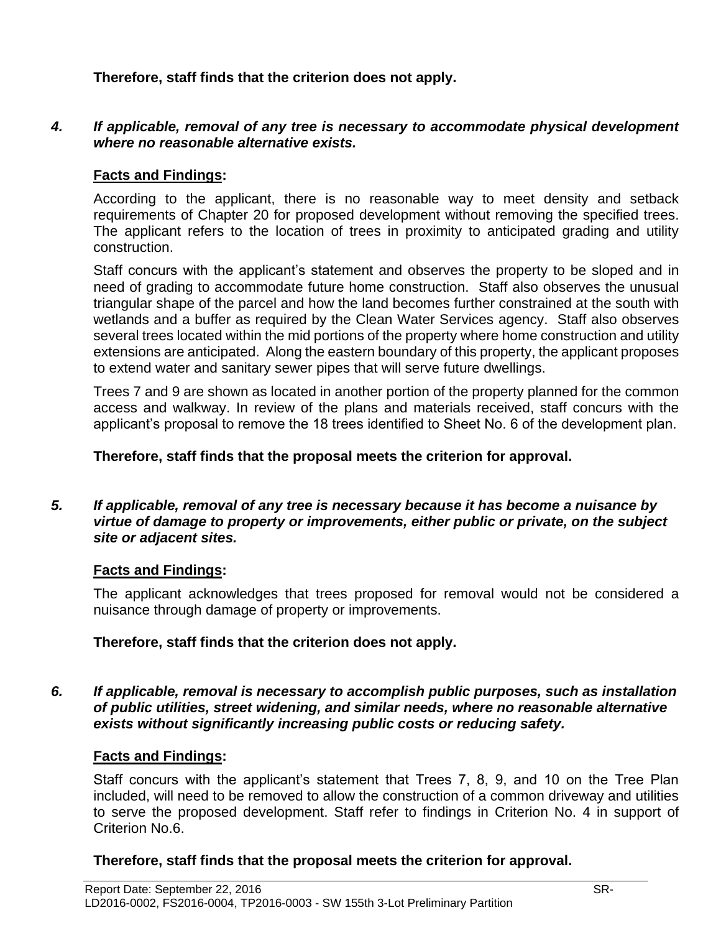**Therefore, staff finds that the criterion does not apply.**

#### *4. If applicable, removal of any tree is necessary to accommodate physical development where no reasonable alternative exists.*

### **Facts and Findings:**

According to the applicant, there is no reasonable way to meet density and setback requirements of Chapter 20 for proposed development without removing the specified trees. The applicant refers to the location of trees in proximity to anticipated grading and utility construction.

Staff concurs with the applicant's statement and observes the property to be sloped and in need of grading to accommodate future home construction. Staff also observes the unusual triangular shape of the parcel and how the land becomes further constrained at the south with wetlands and a buffer as required by the Clean Water Services agency. Staff also observes several trees located within the mid portions of the property where home construction and utility extensions are anticipated. Along the eastern boundary of this property, the applicant proposes to extend water and sanitary sewer pipes that will serve future dwellings.

Trees 7 and 9 are shown as located in another portion of the property planned for the common access and walkway. In review of the plans and materials received, staff concurs with the applicant's proposal to remove the 18 trees identified to Sheet No. 6 of the development plan.

#### **Therefore, staff finds that the proposal meets the criterion for approval.**

#### *5. If applicable, removal of any tree is necessary because it has become a nuisance by virtue of damage to property or improvements, either public or private, on the subject site or adjacent sites.*

#### **Facts and Findings:**

The applicant acknowledges that trees proposed for removal would not be considered a nuisance through damage of property or improvements.

### **Therefore, staff finds that the criterion does not apply.**

#### *6. If applicable, removal is necessary to accomplish public purposes, such as installation of public utilities, street widening, and similar needs, where no reasonable alternative exists without significantly increasing public costs or reducing safety.*

#### **Facts and Findings:**

Staff concurs with the applicant's statement that Trees 7, 8, 9, and 10 on the Tree Plan included, will need to be removed to allow the construction of a common driveway and utilities to serve the proposed development. Staff refer to findings in Criterion No. 4 in support of Criterion No.6.

### **Therefore, staff finds that the proposal meets the criterion for approval.**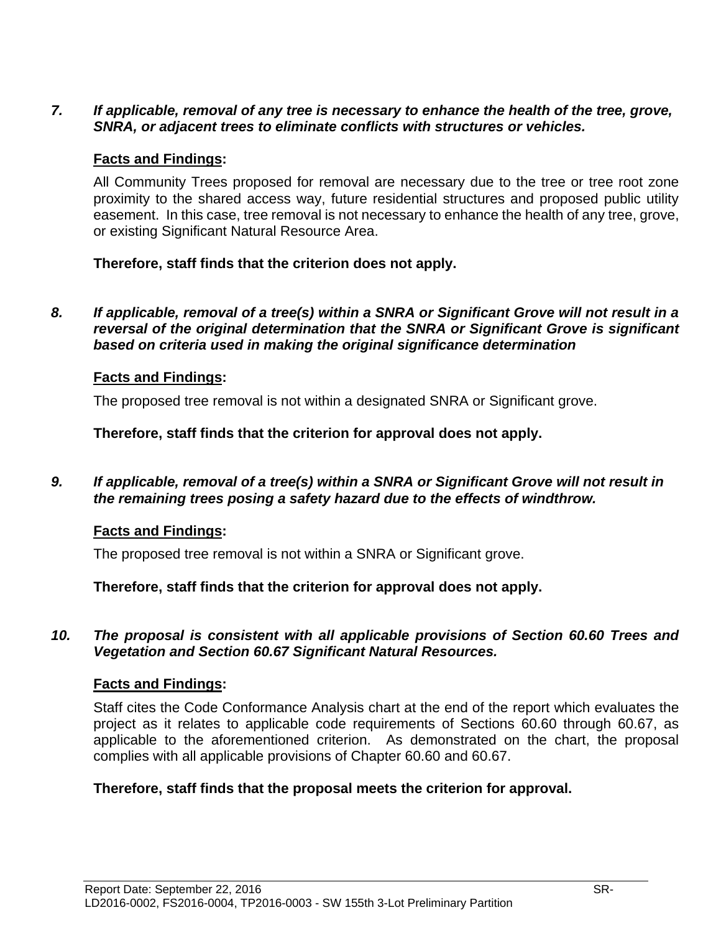### *7. If applicable, removal of any tree is necessary to enhance the health of the tree, grove, SNRA, or adjacent trees to eliminate conflicts with structures or vehicles.*

#### **Facts and Findings:**

All Community Trees proposed for removal are necessary due to the tree or tree root zone proximity to the shared access way, future residential structures and proposed public utility easement. In this case, tree removal is not necessary to enhance the health of any tree, grove, or existing Significant Natural Resource Area.

#### **Therefore, staff finds that the criterion does not apply.**

*8. If applicable, removal of a tree(s) within a SNRA or Significant Grove will not result in a reversal of the original determination that the SNRA or Significant Grove is significant based on criteria used in making the original significance determination*

#### **Facts and Findings:**

The proposed tree removal is not within a designated SNRA or Significant grove.

**Therefore, staff finds that the criterion for approval does not apply.**

*9. If applicable, removal of a tree(s) within a SNRA or Significant Grove will not result in the remaining trees posing a safety hazard due to the effects of windthrow.*

#### **Facts and Findings:**

The proposed tree removal is not within a SNRA or Significant grove.

**Therefore, staff finds that the criterion for approval does not apply.** 

*10. The proposal is consistent with all applicable provisions of Section 60.60 Trees and Vegetation and Section 60.67 Significant Natural Resources.*

#### **Facts and Findings:**

Staff cites the Code Conformance Analysis chart at the end of the report which evaluates the project as it relates to applicable code requirements of Sections 60.60 through 60.67, as applicable to the aforementioned criterion. As demonstrated on the chart, the proposal complies with all applicable provisions of Chapter 60.60 and 60.67.

#### **Therefore, staff finds that the proposal meets the criterion for approval.**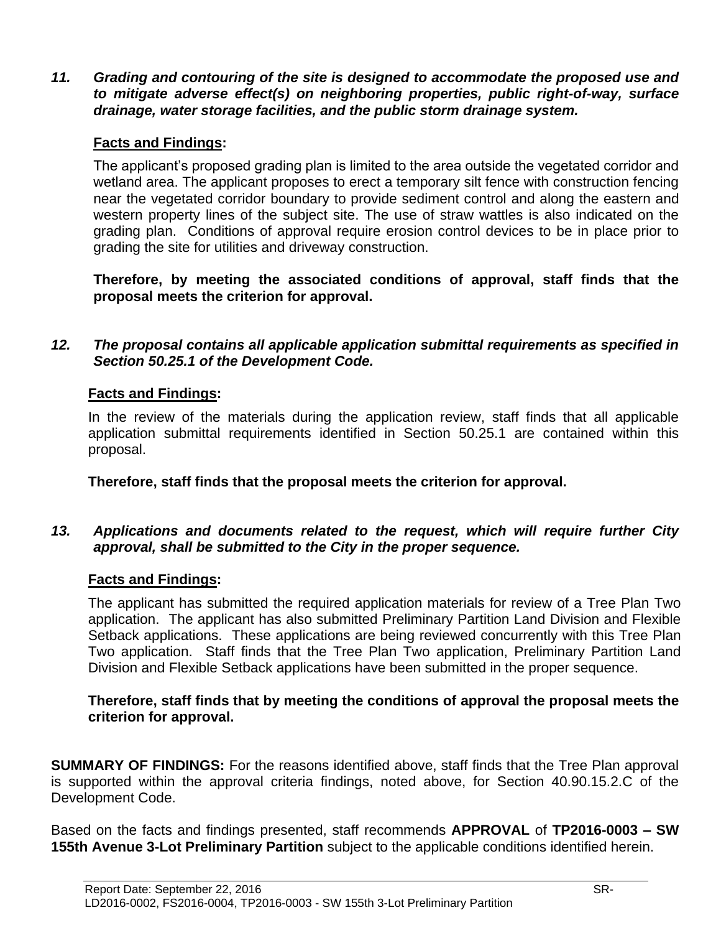*11. Grading and contouring of the site is designed to accommodate the proposed use and to mitigate adverse effect(s) on neighboring properties, public right-of-way, surface drainage, water storage facilities, and the public storm drainage system.*

### **Facts and Findings:**

The applicant's proposed grading plan is limited to the area outside the vegetated corridor and wetland area. The applicant proposes to erect a temporary silt fence with construction fencing near the vegetated corridor boundary to provide sediment control and along the eastern and western property lines of the subject site. The use of straw wattles is also indicated on the grading plan. Conditions of approval require erosion control devices to be in place prior to grading the site for utilities and driveway construction.

**Therefore, by meeting the associated conditions of approval, staff finds that the proposal meets the criterion for approval.**

#### *12. The proposal contains all applicable application submittal requirements as specified in Section 50.25.1 of the Development Code.*

#### **Facts and Findings:**

In the review of the materials during the application review, staff finds that all applicable application submittal requirements identified in Section 50.25.1 are contained within this proposal.

**Therefore, staff finds that the proposal meets the criterion for approval.**

### *13. Applications and documents related to the request, which will require further City approval, shall be submitted to the City in the proper sequence.*

#### **Facts and Findings:**

The applicant has submitted the required application materials for review of a Tree Plan Two application. The applicant has also submitted Preliminary Partition Land Division and Flexible Setback applications. These applications are being reviewed concurrently with this Tree Plan Two application. Staff finds that the Tree Plan Two application, Preliminary Partition Land Division and Flexible Setback applications have been submitted in the proper sequence.

#### **Therefore, staff finds that by meeting the conditions of approval the proposal meets the criterion for approval.**

**SUMMARY OF FINDINGS:** For the reasons identified above, staff finds that the Tree Plan approval is supported within the approval criteria findings, noted above, for Section 40.90.15.2.C of the Development Code.

Based on the facts and findings presented, staff recommends **APPROVAL** of **TP2016-0003 – SW 155th Avenue 3-Lot Preliminary Partition** subject to the applicable conditions identified herein.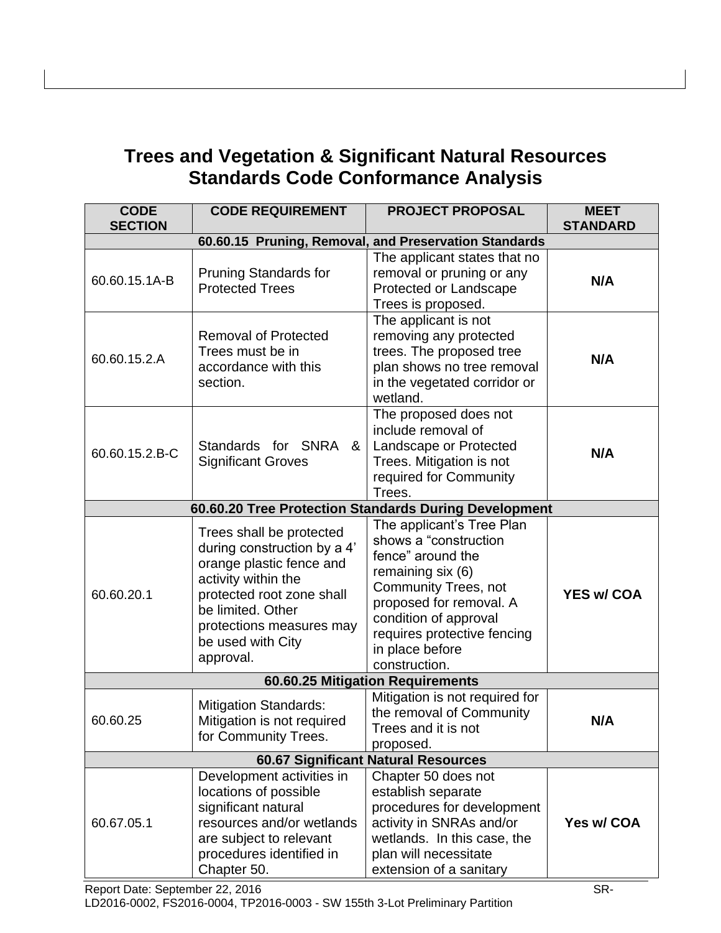# **Trees and Vegetation & Significant Natural Resources Standards Code Conformance Analysis**

| <b>CODE</b><br><b>SECTION</b>                         | <b>CODE REQUIREMENT</b>                                                                                                                                                                                                    | <b>PROJECT PROPOSAL</b>                                                                                                                                                                                                                            | <b>MEET</b><br><b>STANDARD</b> |  |
|-------------------------------------------------------|----------------------------------------------------------------------------------------------------------------------------------------------------------------------------------------------------------------------------|----------------------------------------------------------------------------------------------------------------------------------------------------------------------------------------------------------------------------------------------------|--------------------------------|--|
| 60.60.15 Pruning, Removal, and Preservation Standards |                                                                                                                                                                                                                            |                                                                                                                                                                                                                                                    |                                |  |
| 60.60.15.1A-B                                         | <b>Pruning Standards for</b><br><b>Protected Trees</b>                                                                                                                                                                     | The applicant states that no<br>removal or pruning or any<br>Protected or Landscape<br>Trees is proposed.                                                                                                                                          | N/A                            |  |
| 60.60.15.2.A                                          | <b>Removal of Protected</b><br>Trees must be in<br>accordance with this<br>section.                                                                                                                                        | The applicant is not<br>removing any protected<br>trees. The proposed tree<br>plan shows no tree removal<br>in the vegetated corridor or<br>wetland.                                                                                               | N/A                            |  |
| 60.60.15.2.B-C                                        | Standards for SNRA<br>8 <sub>1</sub><br><b>Significant Groves</b>                                                                                                                                                          | The proposed does not<br>include removal of<br>Landscape or Protected<br>Trees. Mitigation is not<br>required for Community<br>Trees.                                                                                                              | N/A                            |  |
|                                                       |                                                                                                                                                                                                                            | 60.60.20 Tree Protection Standards During Development                                                                                                                                                                                              |                                |  |
| 60.60.20.1                                            | Trees shall be protected<br>during construction by a 4'<br>orange plastic fence and<br>activity within the<br>protected root zone shall<br>be limited. Other<br>protections measures may<br>be used with City<br>approval. | The applicant's Tree Plan<br>shows a "construction<br>fence" around the<br>remaining six (6)<br><b>Community Trees, not</b><br>proposed for removal. A<br>condition of approval<br>requires protective fencing<br>in place before<br>construction. | <b>YES w/ COA</b>              |  |
| 60.60.25 Mitigation Requirements                      |                                                                                                                                                                                                                            |                                                                                                                                                                                                                                                    |                                |  |
| 60.60.25                                              | <b>Mitigation Standards:</b><br>Mitigation is not required<br>for Community Trees.                                                                                                                                         | Mitigation is not required for<br>the removal of Community<br>Trees and it is not<br>proposed.                                                                                                                                                     | N/A                            |  |
| <b>60.67 Significant Natural Resources</b>            |                                                                                                                                                                                                                            |                                                                                                                                                                                                                                                    |                                |  |
| 60.67.05.1                                            | Development activities in<br>locations of possible<br>significant natural<br>resources and/or wetlands<br>are subject to relevant<br>procedures identified in<br>Chapter 50.                                               | Chapter 50 does not<br>establish separate<br>procedures for development<br>activity in SNRAs and/or<br>wetlands. In this case, the<br>plan will necessitate<br>extension of a sanitary                                                             | Yes w/ COA                     |  |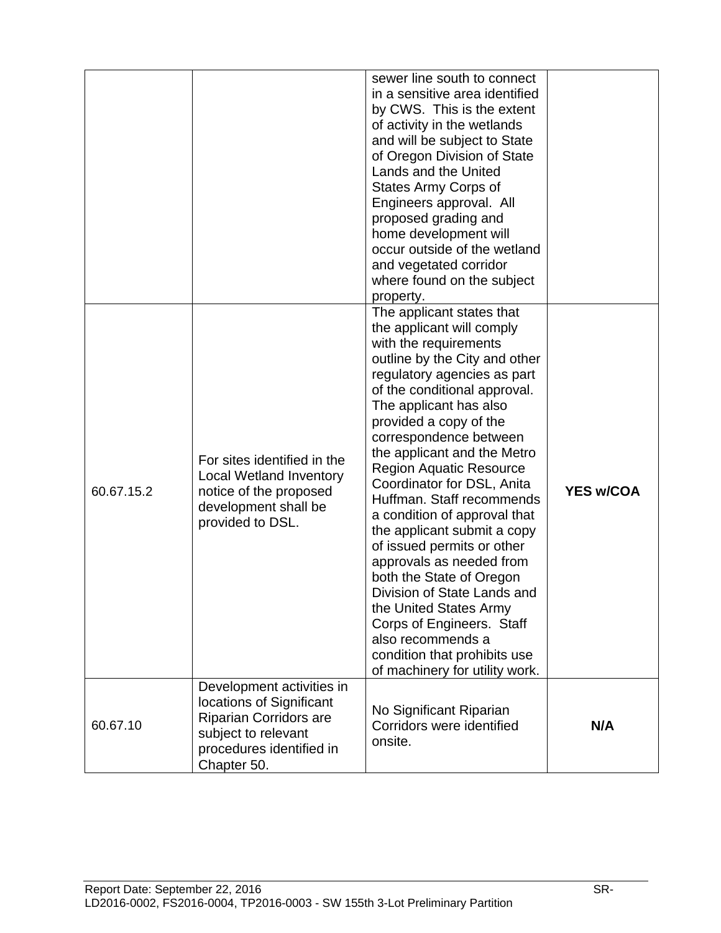|            |                                                                                                                                                          | sewer line south to connect<br>in a sensitive area identified<br>by CWS. This is the extent<br>of activity in the wetlands<br>and will be subject to State<br>of Oregon Division of State<br>Lands and the United<br><b>States Army Corps of</b><br>Engineers approval. All<br>proposed grading and<br>home development will<br>occur outside of the wetland<br>and vegetated corridor<br>where found on the subject<br>property.                                                                                                                                                                                                                                                                                           |                  |
|------------|----------------------------------------------------------------------------------------------------------------------------------------------------------|-----------------------------------------------------------------------------------------------------------------------------------------------------------------------------------------------------------------------------------------------------------------------------------------------------------------------------------------------------------------------------------------------------------------------------------------------------------------------------------------------------------------------------------------------------------------------------------------------------------------------------------------------------------------------------------------------------------------------------|------------------|
| 60.67.15.2 | For sites identified in the<br><b>Local Wetland Inventory</b><br>notice of the proposed<br>development shall be<br>provided to DSL.                      | The applicant states that<br>the applicant will comply<br>with the requirements<br>outline by the City and other<br>regulatory agencies as part<br>of the conditional approval.<br>The applicant has also<br>provided a copy of the<br>correspondence between<br>the applicant and the Metro<br><b>Region Aquatic Resource</b><br>Coordinator for DSL, Anita<br>Huffman. Staff recommends<br>a condition of approval that<br>the applicant submit a copy<br>of issued permits or other<br>approvals as needed from<br>both the State of Oregon<br>Division of State Lands and<br>the United States Army<br>Corps of Engineers. Staff<br>also recommends a<br>condition that prohibits use<br>of machinery for utility work. | <b>YES w/COA</b> |
| 60.67.10   | Development activities in<br>locations of Significant<br><b>Riparian Corridors are</b><br>subject to relevant<br>procedures identified in<br>Chapter 50. | No Significant Riparian<br>Corridors were identified<br>onsite.                                                                                                                                                                                                                                                                                                                                                                                                                                                                                                                                                                                                                                                             | N/A              |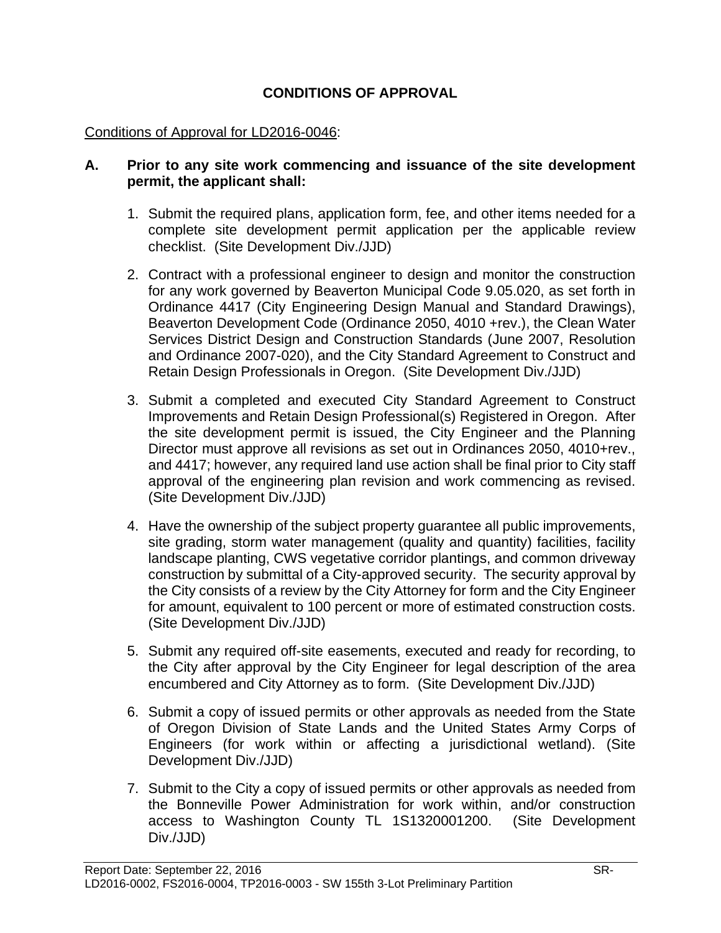### **CONDITIONS OF APPROVAL**

#### Conditions of Approval for LD2016-0046:

#### **A. Prior to any site work commencing and issuance of the site development permit, the applicant shall:**

- 1. Submit the required plans, application form, fee, and other items needed for a complete site development permit application per the applicable review checklist. (Site Development Div./JJD)
- 2. Contract with a professional engineer to design and monitor the construction for any work governed by Beaverton Municipal Code 9.05.020, as set forth in Ordinance 4417 (City Engineering Design Manual and Standard Drawings), Beaverton Development Code (Ordinance 2050, 4010 +rev.), the Clean Water Services District Design and Construction Standards (June 2007, Resolution and Ordinance 2007-020), and the City Standard Agreement to Construct and Retain Design Professionals in Oregon. (Site Development Div./JJD)
- 3. Submit a completed and executed City Standard Agreement to Construct Improvements and Retain Design Professional(s) Registered in Oregon. After the site development permit is issued, the City Engineer and the Planning Director must approve all revisions as set out in Ordinances 2050, 4010+rev., and 4417; however, any required land use action shall be final prior to City staff approval of the engineering plan revision and work commencing as revised. (Site Development Div./JJD)
- 4. Have the ownership of the subject property guarantee all public improvements, site grading, storm water management (quality and quantity) facilities, facility landscape planting, CWS vegetative corridor plantings, and common driveway construction by submittal of a City-approved security. The security approval by the City consists of a review by the City Attorney for form and the City Engineer for amount, equivalent to 100 percent or more of estimated construction costs. (Site Development Div./JJD)
- 5. Submit any required off-site easements, executed and ready for recording, to the City after approval by the City Engineer for legal description of the area encumbered and City Attorney as to form. (Site Development Div./JJD)
- 6. Submit a copy of issued permits or other approvals as needed from the State of Oregon Division of State Lands and the United States Army Corps of Engineers (for work within or affecting a jurisdictional wetland). (Site Development Div./JJD)
- 7. Submit to the City a copy of issued permits or other approvals as needed from the Bonneville Power Administration for work within, and/or construction access to Washington County TL 1S1320001200. (Site Development Div./JJD)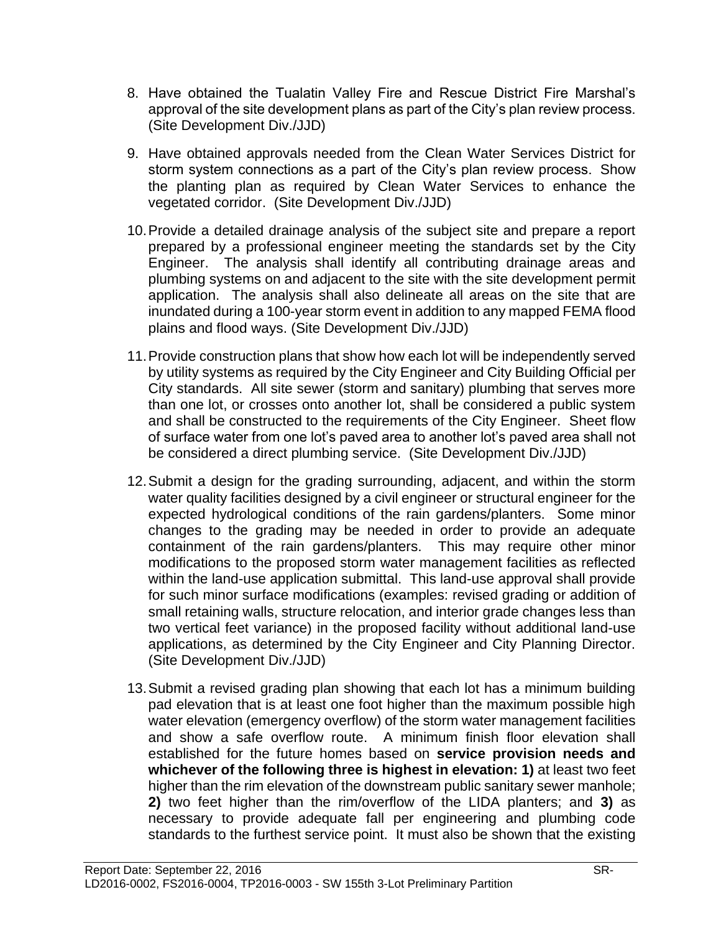- 8. Have obtained the Tualatin Valley Fire and Rescue District Fire Marshal's approval of the site development plans as part of the City's plan review process. (Site Development Div./JJD)
- 9. Have obtained approvals needed from the Clean Water Services District for storm system connections as a part of the City's plan review process. Show the planting plan as required by Clean Water Services to enhance the vegetated corridor. (Site Development Div./JJD)
- 10.Provide a detailed drainage analysis of the subject site and prepare a report prepared by a professional engineer meeting the standards set by the City Engineer. The analysis shall identify all contributing drainage areas and plumbing systems on and adjacent to the site with the site development permit application. The analysis shall also delineate all areas on the site that are inundated during a 100-year storm event in addition to any mapped FEMA flood plains and flood ways. (Site Development Div./JJD)
- 11.Provide construction plans that show how each lot will be independently served by utility systems as required by the City Engineer and City Building Official per City standards. All site sewer (storm and sanitary) plumbing that serves more than one lot, or crosses onto another lot, shall be considered a public system and shall be constructed to the requirements of the City Engineer. Sheet flow of surface water from one lot's paved area to another lot's paved area shall not be considered a direct plumbing service. (Site Development Div./JJD)
- 12.Submit a design for the grading surrounding, adjacent, and within the storm water quality facilities designed by a civil engineer or structural engineer for the expected hydrological conditions of the rain gardens/planters. Some minor changes to the grading may be needed in order to provide an adequate containment of the rain gardens/planters. This may require other minor modifications to the proposed storm water management facilities as reflected within the land-use application submittal. This land-use approval shall provide for such minor surface modifications (examples: revised grading or addition of small retaining walls, structure relocation, and interior grade changes less than two vertical feet variance) in the proposed facility without additional land-use applications, as determined by the City Engineer and City Planning Director. (Site Development Div./JJD)
- 13.Submit a revised grading plan showing that each lot has a minimum building pad elevation that is at least one foot higher than the maximum possible high water elevation (emergency overflow) of the storm water management facilities and show a safe overflow route. A minimum finish floor elevation shall established for the future homes based on **service provision needs and whichever of the following three is highest in elevation: 1)** at least two feet higher than the rim elevation of the downstream public sanitary sewer manhole; **2)** two feet higher than the rim/overflow of the LIDA planters; and **3)** as necessary to provide adequate fall per engineering and plumbing code standards to the furthest service point. It must also be shown that the existing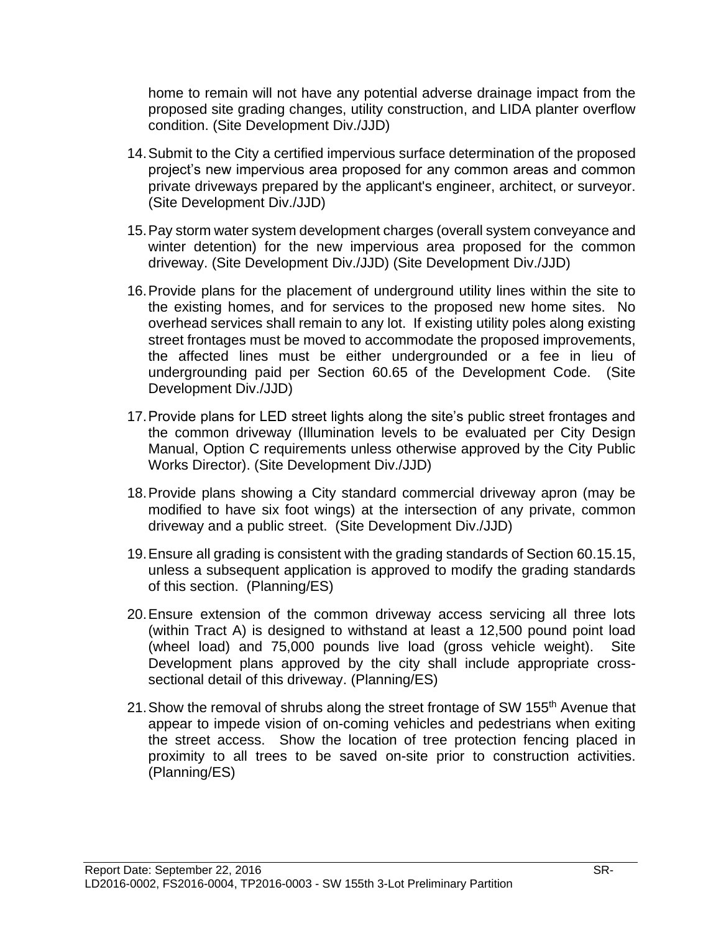home to remain will not have any potential adverse drainage impact from the proposed site grading changes, utility construction, and LIDA planter overflow condition. (Site Development Div./JJD)

- 14.Submit to the City a certified impervious surface determination of the proposed project's new impervious area proposed for any common areas and common private driveways prepared by the applicant's engineer, architect, or surveyor. (Site Development Div./JJD)
- 15.Pay storm water system development charges (overall system conveyance and winter detention) for the new impervious area proposed for the common driveway. (Site Development Div./JJD) (Site Development Div./JJD)
- 16.Provide plans for the placement of underground utility lines within the site to the existing homes, and for services to the proposed new home sites. No overhead services shall remain to any lot. If existing utility poles along existing street frontages must be moved to accommodate the proposed improvements, the affected lines must be either undergrounded or a fee in lieu of undergrounding paid per Section 60.65 of the Development Code. (Site Development Div./JJD)
- 17.Provide plans for LED street lights along the site's public street frontages and the common driveway (Illumination levels to be evaluated per City Design Manual, Option C requirements unless otherwise approved by the City Public Works Director). (Site Development Div./JJD)
- 18.Provide plans showing a City standard commercial driveway apron (may be modified to have six foot wings) at the intersection of any private, common driveway and a public street. (Site Development Div./JJD)
- 19.Ensure all grading is consistent with the grading standards of Section 60.15.15, unless a subsequent application is approved to modify the grading standards of this section. (Planning/ES)
- 20.Ensure extension of the common driveway access servicing all three lots (within Tract A) is designed to withstand at least a 12,500 pound point load (wheel load) and 75,000 pounds live load (gross vehicle weight). Site Development plans approved by the city shall include appropriate crosssectional detail of this driveway. (Planning/ES)
- 21. Show the removal of shrubs along the street frontage of SW 155<sup>th</sup> Avenue that appear to impede vision of on-coming vehicles and pedestrians when exiting the street access. Show the location of tree protection fencing placed in proximity to all trees to be saved on-site prior to construction activities. (Planning/ES)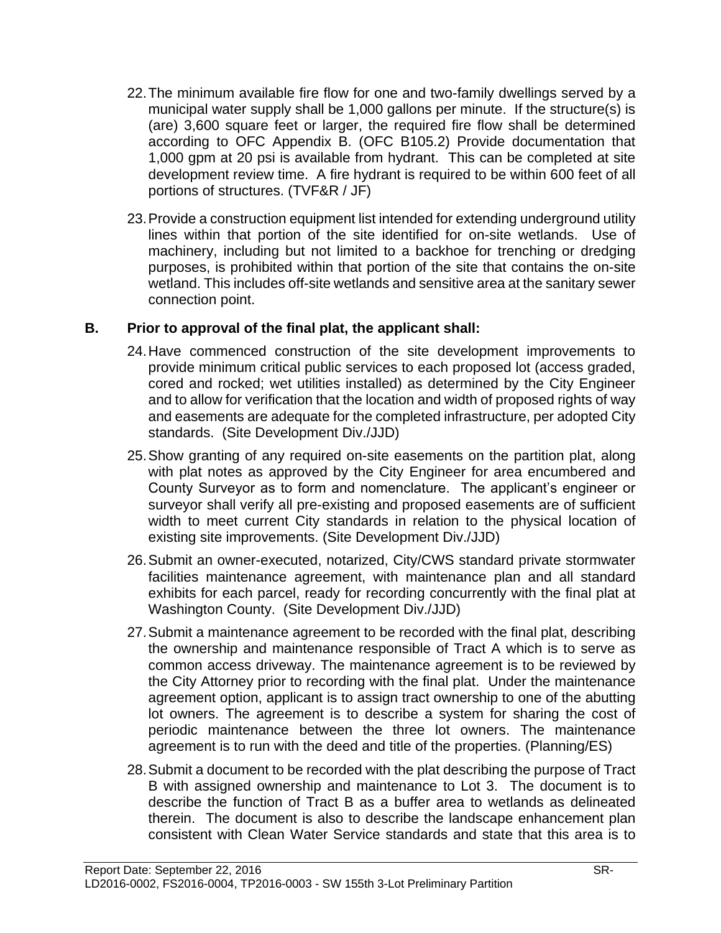- 22.The minimum available fire flow for one and two-family dwellings served by a municipal water supply shall be 1,000 gallons per minute. If the structure(s) is (are) 3,600 square feet or larger, the required fire flow shall be determined according to OFC Appendix B. (OFC B105.2) Provide documentation that 1,000 gpm at 20 psi is available from hydrant. This can be completed at site development review time. A fire hydrant is required to be within 600 feet of all portions of structures. (TVF&R / JF)
- 23.Provide a construction equipment list intended for extending underground utility lines within that portion of the site identified for on-site wetlands. Use of machinery, including but not limited to a backhoe for trenching or dredging purposes, is prohibited within that portion of the site that contains the on-site wetland. This includes off-site wetlands and sensitive area at the sanitary sewer connection point.

### **B. Prior to approval of the final plat, the applicant shall:**

- 24.Have commenced construction of the site development improvements to provide minimum critical public services to each proposed lot (access graded, cored and rocked; wet utilities installed) as determined by the City Engineer and to allow for verification that the location and width of proposed rights of way and easements are adequate for the completed infrastructure, per adopted City standards. (Site Development Div./JJD)
- 25.Show granting of any required on-site easements on the partition plat, along with plat notes as approved by the City Engineer for area encumbered and County Surveyor as to form and nomenclature. The applicant's engineer or surveyor shall verify all pre-existing and proposed easements are of sufficient width to meet current City standards in relation to the physical location of existing site improvements. (Site Development Div./JJD)
- 26.Submit an owner-executed, notarized, City/CWS standard private stormwater facilities maintenance agreement, with maintenance plan and all standard exhibits for each parcel, ready for recording concurrently with the final plat at Washington County. (Site Development Div./JJD)
- 27.Submit a maintenance agreement to be recorded with the final plat, describing the ownership and maintenance responsible of Tract A which is to serve as common access driveway. The maintenance agreement is to be reviewed by the City Attorney prior to recording with the final plat. Under the maintenance agreement option, applicant is to assign tract ownership to one of the abutting lot owners. The agreement is to describe a system for sharing the cost of periodic maintenance between the three lot owners. The maintenance agreement is to run with the deed and title of the properties. (Planning/ES)
- 28.Submit a document to be recorded with the plat describing the purpose of Tract B with assigned ownership and maintenance to Lot 3. The document is to describe the function of Tract B as a buffer area to wetlands as delineated therein. The document is also to describe the landscape enhancement plan consistent with Clean Water Service standards and state that this area is to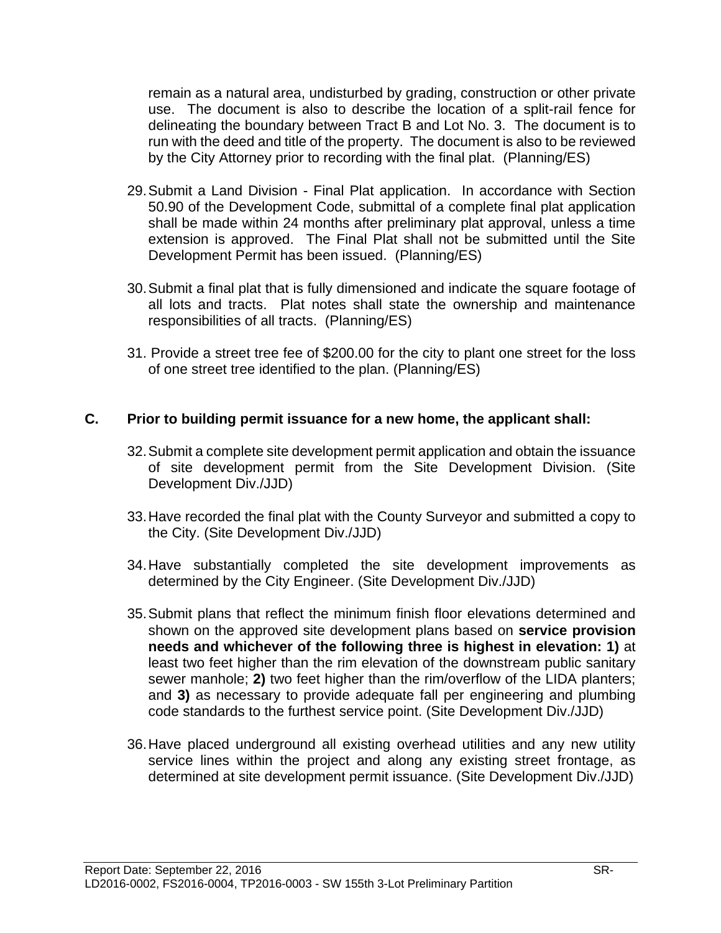remain as a natural area, undisturbed by grading, construction or other private use. The document is also to describe the location of a split-rail fence for delineating the boundary between Tract B and Lot No. 3. The document is to run with the deed and title of the property. The document is also to be reviewed by the City Attorney prior to recording with the final plat. (Planning/ES)

- 29.Submit a Land Division Final Plat application. In accordance with Section 50.90 of the Development Code, submittal of a complete final plat application shall be made within 24 months after preliminary plat approval, unless a time extension is approved. The Final Plat shall not be submitted until the Site Development Permit has been issued. (Planning/ES)
- 30.Submit a final plat that is fully dimensioned and indicate the square footage of all lots and tracts. Plat notes shall state the ownership and maintenance responsibilities of all tracts. (Planning/ES)
- 31. Provide a street tree fee of \$200.00 for the city to plant one street for the loss of one street tree identified to the plan. (Planning/ES)

#### **C. Prior to building permit issuance for a new home, the applicant shall:**

- 32.Submit a complete site development permit application and obtain the issuance of site development permit from the Site Development Division. (Site Development Div./JJD)
- 33.Have recorded the final plat with the County Surveyor and submitted a copy to the City. (Site Development Div./JJD)
- 34.Have substantially completed the site development improvements as determined by the City Engineer. (Site Development Div./JJD)
- 35.Submit plans that reflect the minimum finish floor elevations determined and shown on the approved site development plans based on **service provision needs and whichever of the following three is highest in elevation: 1)** at least two feet higher than the rim elevation of the downstream public sanitary sewer manhole; **2)** two feet higher than the rim/overflow of the LIDA planters; and **3)** as necessary to provide adequate fall per engineering and plumbing code standards to the furthest service point. (Site Development Div./JJD)
- 36.Have placed underground all existing overhead utilities and any new utility service lines within the project and along any existing street frontage, as determined at site development permit issuance. (Site Development Div./JJD)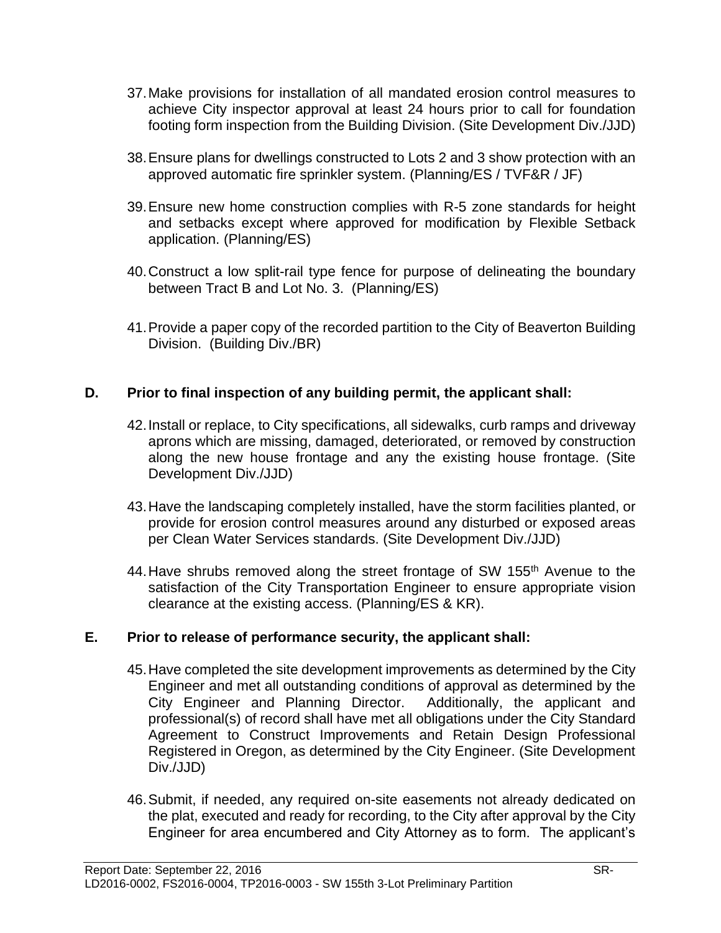- 37.Make provisions for installation of all mandated erosion control measures to achieve City inspector approval at least 24 hours prior to call for foundation footing form inspection from the Building Division. (Site Development Div./JJD)
- 38.Ensure plans for dwellings constructed to Lots 2 and 3 show protection with an approved automatic fire sprinkler system. (Planning/ES / TVF&R / JF)
- 39.Ensure new home construction complies with R-5 zone standards for height and setbacks except where approved for modification by Flexible Setback application. (Planning/ES)
- 40.Construct a low split-rail type fence for purpose of delineating the boundary between Tract B and Lot No. 3. (Planning/ES)
- 41.Provide a paper copy of the recorded partition to the City of Beaverton Building Division. (Building Div./BR)

### **D. Prior to final inspection of any building permit, the applicant shall:**

- 42.Install or replace, to City specifications, all sidewalks, curb ramps and driveway aprons which are missing, damaged, deteriorated, or removed by construction along the new house frontage and any the existing house frontage. (Site Development Div./JJD)
- 43.Have the landscaping completely installed, have the storm facilities planted, or provide for erosion control measures around any disturbed or exposed areas per Clean Water Services standards. (Site Development Div./JJD)
- 44. Have shrubs removed along the street frontage of SW 155<sup>th</sup> Avenue to the satisfaction of the City Transportation Engineer to ensure appropriate vision clearance at the existing access. (Planning/ES & KR).

### **E. Prior to release of performance security, the applicant shall:**

- 45.Have completed the site development improvements as determined by the City Engineer and met all outstanding conditions of approval as determined by the City Engineer and Planning Director. Additionally, the applicant and professional(s) of record shall have met all obligations under the City Standard Agreement to Construct Improvements and Retain Design Professional Registered in Oregon, as determined by the City Engineer. (Site Development Div./JJD)
- 46.Submit, if needed, any required on-site easements not already dedicated on the plat, executed and ready for recording, to the City after approval by the City Engineer for area encumbered and City Attorney as to form. The applicant's